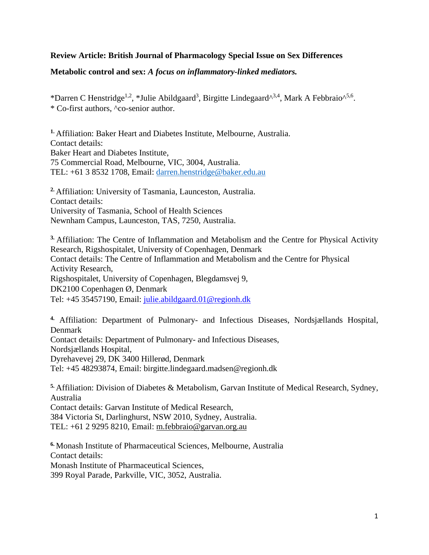# **Review Article: British Journal of Pharmacology Special Issue on Sex Differences**

# **Metabolic control and sex:** *A focus on inflammatory-linked mediators.*

\*Darren C Henstridge<sup>1,2</sup>, \*Julie Abildgaard<sup>3</sup>, Birgitte Lindegaard<sup>^3,4</sup>, Mark A Febbraio<sup>^5,6</sup>. \* Co-first authors, ^co-senior author.

**1.** Affiliation: Baker Heart and Diabetes Institute, Melbourne, Australia. Contact details: Baker Heart and Diabetes Institute, 75 Commercial Road, Melbourne, VIC, 3004, Australia. TEL: +61 3 8532 1708, Email: [darren.henstridge@baker.edu.au](mailto:darren.henstridge@baker.edu.au)

**2.** Affiliation: University of Tasmania, Launceston, Australia. Contact details: University of Tasmania, School of Health Sciences Newnham Campus, Launceston, TAS, 7250, Australia.

**3.** Affiliation: The Centre of Inflammation and Metabolism and the Centre for Physical Activity Research, Rigshospitalet, University of Copenhagen, Denmark Contact details: The Centre of Inflammation and Metabolism and the Centre for Physical Activity Research, Rigshospitalet, University of Copenhagen, Blegdamsvej 9, DK2100 Copenhagen Ø, Denmark Tel: +45 35457190, Email: [julie.abildgaard.01@regionh.dk](mailto:julie.abildgaard.01@regionh.dk)

**4.** Affiliation: Department of Pulmonary- and Infectious Diseases, Nordsjællands Hospital, Denmark

Contact details: Department of Pulmonary- and Infectious Diseases,

Nordsjællands Hospital,

Dyrehavevej 29, DK 3400 Hillerød, Denmark

Tel: +45 48293874, Email: birgitte.lindegaard.madsen@regionh.dk

**5.** Affiliation: Division of Diabetes & Metabolism, Garvan Institute of Medical Research, Sydney, Australia

Contact details: Garvan Institute of Medical Research,

384 Victoria St, Darlinghurst, NSW 2010, Sydney, Australia. TEL: +61 2 9295 8210, Email: [m.febbraio@garvan.org.au](mailto:m.febbraio@garvan.org.au)

**6.** Monash Institute of Pharmaceutical Sciences, Melbourne, Australia Contact details: Monash Institute of Pharmaceutical Sciences, 399 Royal Parade, Parkville, VIC, 3052, Australia.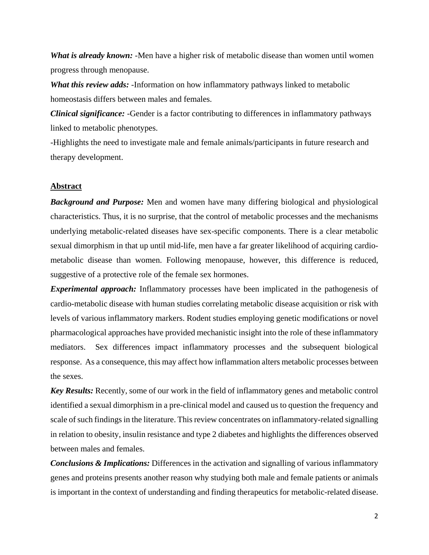*What is already known:* -Men have a higher risk of metabolic disease than women until women progress through menopause.

*What this review adds:* -Information on how inflammatory pathways linked to metabolic homeostasis differs between males and females.

*Clinical significance:* -Gender is a factor contributing to differences in inflammatory pathways linked to metabolic phenotypes.

-Highlights the need to investigate male and female animals/participants in future research and therapy development.

# **Abstract**

*Background and Purpose:* Men and women have many differing biological and physiological characteristics. Thus, it is no surprise, that the control of metabolic processes and the mechanisms underlying metabolic-related diseases have sex-specific components. There is a clear metabolic sexual dimorphism in that up until mid-life, men have a far greater likelihood of acquiring cardiometabolic disease than women. Following menopause, however, this difference is reduced, suggestive of a protective role of the female sex hormones.

*Experimental approach:* Inflammatory processes have been implicated in the pathogenesis of cardio-metabolic disease with human studies correlating metabolic disease acquisition or risk with levels of various inflammatory markers. Rodent studies employing genetic modifications or novel pharmacological approaches have provided mechanistic insight into the role of these inflammatory mediators. Sex differences impact inflammatory processes and the subsequent biological response. As a consequence, this may affect how inflammation alters metabolic processes between the sexes.

*Key Results:* Recently, some of our work in the field of inflammatory genes and metabolic control identified a sexual dimorphism in a pre-clinical model and caused us to question the frequency and scale of such findings in the literature. This review concentrates on inflammatory-related signalling in relation to obesity, insulin resistance and type 2 diabetes and highlights the differences observed between males and females.

*Conclusions & Implications:* Differences in the activation and signalling of various inflammatory genes and proteins presents another reason why studying both male and female patients or animals is important in the context of understanding and finding therapeutics for metabolic-related disease.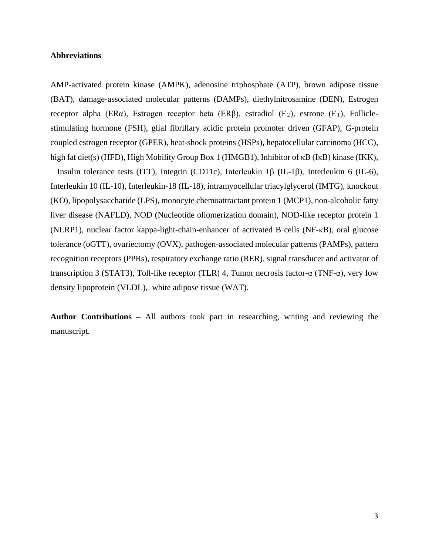## **Abbreviations**

AMP-activated protein kinase (AMPK), adenosine triphosphate (ATP), brown adipose tissue (BAT), damage-associated molecular patterns (DAMPs), diethylnitrosamine (DEN), Estrogen receptor alpha (ER $\alpha$ ), Estrogen receptor beta (ER $\beta$ ), estradiol (E<sub>2</sub>), estrone (E<sub>1</sub>), Folliclestimulating hormone (FSH), glial fibrillary acidic protein promoter driven (GFAP), G-protein coupled estrogen receptor (GPER), heat-shock proteins (HSPs), hepatocellular carcinoma (HCC), high fat diet(s) (HFD), [High Mobility Group Box 1](https://www.sciencedirect.com/topics/biochemistry-genetics-and-molecular-biology/hmgb1) (HMGB1), Inhibitor of κB (IκB) kinase (IKK),

Insulin tolerance tests (ITT), Integrin (CD11c), Interleukin 1β **(**IL-1β), Interleukin 6 (IL-6), Interleukin 10 (IL-10), Interleukin-18 (IL-18), intramyocellular triacylglycerol (IMTG), knockout (KO), lipopolysaccharide (LPS), monocyte chemoattractant protein 1 (MCP1), non-alcoholic fatty liver disease (NAFLD), NOD (Nucleotide oliomerization domain), NOD-like receptor protein 1 (NLRP1), nuclear factor kappa-light-chain-enhancer of activated B cells (NF-κB), oral glucose tolerance (oGTT), ovariectomy (OVX), pathogen-associated molecular patterns (PAMPs), pattern recognition receptors (PPRs), respiratory exchange ratio (RER), signal transducer and activator of transcription 3 (STAT3), Toll-like receptor (TLR) 4, Tumor necrosis factor-α (TNF-α), very low density lipoprotein (VLDL), white adipose tissue (WAT).

**Author Contributions –** All authors took part in researching, writing and reviewing the manuscript.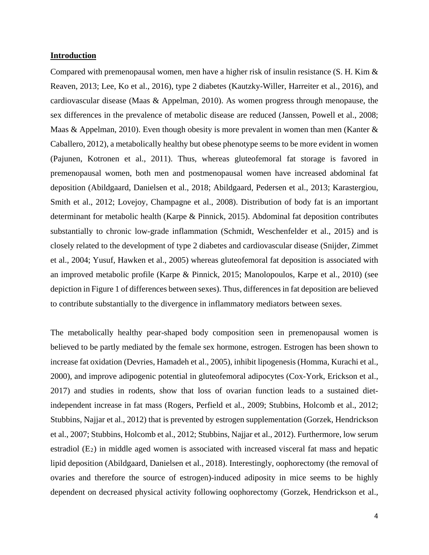#### **Introduction**

Compared with premenopausal women, men have a higher risk of insulin resistance (S. H. Kim & Reaven, 2013; Lee, Ko et al., 2016), type 2 diabetes (Kautzky-Willer, Harreiter et al., 2016), and cardiovascular disease (Maas & Appelman, 2010). As women progress through menopause, the sex differences in the prevalence of metabolic disease are reduced (Janssen, Powell et al., 2008; Maas & Appelman, 2010). Even though obesity is more prevalent in women than men (Kanter & Caballero, 2012), a metabolically healthy but obese phenotype seems to be more evident in women (Pajunen, Kotronen et al., 2011). Thus, whereas gluteofemoral fat storage is favored in premenopausal women, both men and postmenopausal women have increased abdominal fat deposition (Abildgaard, Danielsen et al., 2018; Abildgaard, Pedersen et al., 2013; Karastergiou, Smith et al., 2012; Lovejoy, Champagne et al., 2008). Distribution of body fat is an important determinant for metabolic health (Karpe & Pinnick, 2015). Abdominal fat deposition contributes substantially to chronic low-grade inflammation (Schmidt, Weschenfelder et al., 2015) and is closely related to the development of type 2 diabetes and cardiovascular disease (Snijder, Zimmet et al., 2004; Yusuf, Hawken et al., 2005) whereas gluteofemoral fat deposition is associated with an improved metabolic profile (Karpe & Pinnick, 2015; Manolopoulos, Karpe et al., 2010) (see depiction in Figure 1 of differences between sexes). Thus, differences in fat deposition are believed to contribute substantially to the divergence in inflammatory mediators between sexes.

The metabolically healthy pear-shaped body composition seen in premenopausal women is believed to be partly mediated by the female sex hormone, estrogen. Estrogen has been shown to increase fat oxidation (Devries, Hamadeh et al., 2005), inhibit lipogenesis (Homma, Kurachi et al., 2000), and improve adipogenic potential in gluteofemoral adipocytes (Cox-York, Erickson et al., 2017) and studies in rodents, show that loss of ovarian function leads to a sustained dietindependent increase in fat mass (Rogers, Perfield et al., 2009; Stubbins, Holcomb et al., 2012; Stubbins, Najjar et al., 2012) that is prevented by estrogen supplementation (Gorzek, Hendrickson et al., 2007; Stubbins, Holcomb et al., 2012; Stubbins, Najjar et al., 2012). Furthermore, low serum estradiol (E2) in middle aged women is associated with increased visceral fat mass and hepatic lipid deposition (Abildgaard, Danielsen et al., 2018). Interestingly, oophorectomy (the removal of ovaries and therefore the source of estrogen)-induced adiposity in mice seems to be highly dependent on decreased physical activity following oophorectomy (Gorzek, Hendrickson et al.,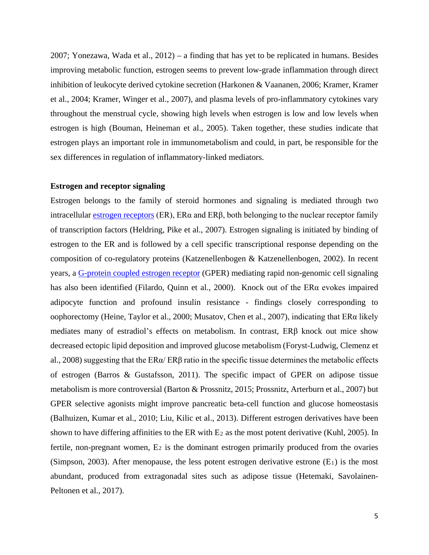2007; Yonezawa, Wada et al., 2012) – a finding that has yet to be replicated in humans. Besides improving metabolic function, estrogen seems to prevent low-grade inflammation through direct inhibition of leukocyte derived cytokine secretion (Harkonen & Vaananen, 2006; Kramer, Kramer et al., 2004; Kramer, Winger et al., 2007), and plasma levels of pro-inflammatory cytokines vary throughout the menstrual cycle, showing high levels when estrogen is low and low levels when estrogen is high (Bouman, Heineman et al., 2005). Taken together, these studies indicate that estrogen plays an important role in immunometabolism and could, in part, be responsible for the sex differences in regulation of inflammatory-linked mediators.

## **Estrogen and receptor signaling**

Estrogen belongs to the family of steroid hormones and signaling is mediated through two intracellular [estrogen receptors](http://www.guidetopharmacology.org/GRAC/FamilyDisplayForward?familyId=96) (ER), ER $\alpha$  and ER $\beta$ , both belonging to the nuclear receptor family of transcription factors (Heldring, Pike et al., 2007). Estrogen signaling is initiated by binding of estrogen to the ER and is followed by a cell specific transcriptional response depending on the composition of co-regulatory proteins (Katzenellenbogen & Katzenellenbogen, 2002). In recent years, a [G-protein coupled estrogen receptor](http://www.guidetopharmacology.org/GRAC/FamilyDisplayForward?familyId=22) (GPER) mediating rapid non-genomic cell signaling has also been identified (Filardo, Quinn et al., 2000). Knock out of the ERα evokes impaired adipocyte function and profound insulin resistance - findings closely corresponding to oophorectomy (Heine, Taylor et al., 2000; Musatov, Chen et al., 2007), indicating that ERα likely mediates many of estradiol's effects on metabolism. In contrast, ERβ knock out mice show decreased ectopic lipid deposition and improved glucose metabolism (Foryst-Ludwig, Clemenz et al., 2008) suggesting that the ERα/ ERβ ratio in the specific tissue determines the metabolic effects of estrogen (Barros & Gustafsson, 2011). The specific impact of GPER on adipose tissue metabolism is more controversial (Barton & Prossnitz, 2015; Prossnitz, Arterburn et al., 2007) but GPER selective agonists might improve pancreatic beta-cell function and glucose homeostasis (Balhuizen, Kumar et al., 2010; Liu, Kilic et al., 2013). Different estrogen derivatives have been shown to have differing affinities to the ER with  $E_2$  as the most potent derivative (Kuhl, 2005). In fertile, non-pregnant women,  $E_2$  is the dominant estrogen primarily produced from the ovaries (Simpson, 2003). After menopause, the less potent estrogen derivative estrone  $(E_1)$  is the most abundant, produced from extragonadal sites such as adipose tissue (Hetemaki, Savolainen-Peltonen et al., 2017).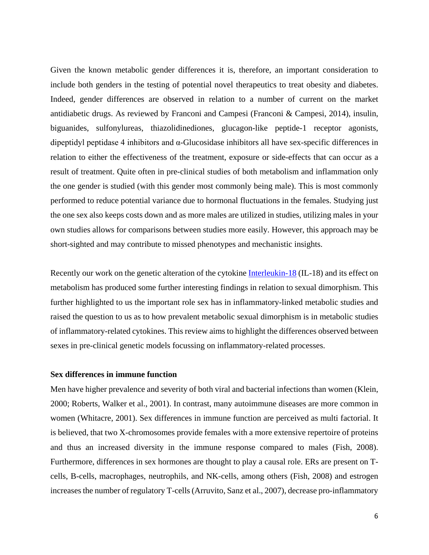Given the known metabolic gender differences it is, therefore, an important consideration to include both genders in the testing of potential novel therapeutics to treat obesity and diabetes. Indeed, gender differences are observed in relation to a number of current on the market antidiabetic drugs. As reviewed by Franconi and Campesi (Franconi & Campesi, 2014), insulin, biguanides, sulfonylureas, thiazolidinediones, glucagon-like peptide-1 receptor agonists, dipeptidyl peptidase 4 inhibitors and α-Glucosidase inhibitors all have sex-specific differences in relation to either the effectiveness of the treatment, exposure or side-effects that can occur as a result of treatment. Quite often in pre-clinical studies of both metabolism and inflammation only the one gender is studied (with this gender most commonly being male). This is most commonly performed to reduce potential variance due to hormonal fluctuations in the females. Studying just the one sex also keeps costs down and as more males are utilized in studies, utilizing males in your own studies allows for comparisons between studies more easily. However, this approach may be short-sighted and may contribute to missed phenotypes and mechanistic insights.

Recently our work on the genetic alteration of the cytokine **Interleukin-18** (IL-18) and its effect on metabolism has produced some further interesting findings in relation to sexual dimorphism. This further highlighted to us the important role sex has in inflammatory-linked metabolic studies and raised the question to us as to how prevalent metabolic sexual dimorphism is in metabolic studies of inflammatory-related cytokines. This review aims to highlight the differences observed between sexes in pre-clinical genetic models focussing on inflammatory-related processes.

# **Sex differences in immune function**

Men have higher prevalence and severity of both viral and bacterial infections than women (Klein, 2000; Roberts, Walker et al., 2001). In contrast, many autoimmune diseases are more common in women (Whitacre, 2001). Sex differences in immune function are perceived as multi factorial. It is believed, that two X-chromosomes provide females with a more extensive repertoire of proteins and thus an increased diversity in the immune response compared to males (Fish, 2008). Furthermore, differences in sex hormones are thought to play a causal role. ERs are present on Tcells, B-cells, macrophages, neutrophils, and NK-cells, among others (Fish, 2008) and estrogen increases the number of regulatory T-cells (Arruvito, Sanz et al., 2007), decrease pro-inflammatory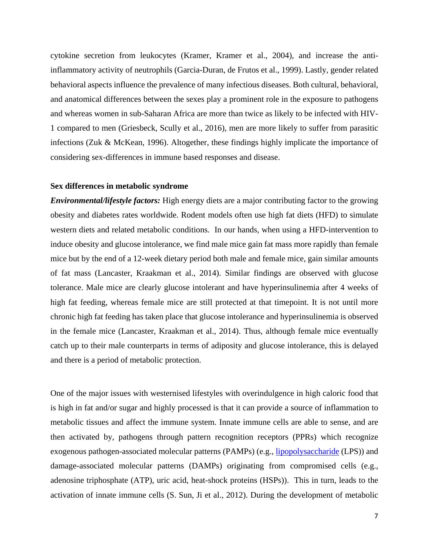cytokine secretion from leukocytes (Kramer, Kramer et al., 2004), and increase the antiinflammatory activity of neutrophils (Garcia-Duran, de Frutos et al., 1999). Lastly, gender related behavioral aspects influence the prevalence of many infectious diseases. Both cultural, behavioral, and anatomical differences between the sexes play a prominent role in the exposure to pathogens and whereas women in sub-Saharan Africa are more than twice as likely to be infected with HIV-1 compared to men (Griesbeck, Scully et al., 2016), men are more likely to suffer from parasitic infections (Zuk & McKean, 1996). Altogether, these findings highly implicate the importance of considering sex-differences in immune based responses and disease.

#### **Sex differences in metabolic syndrome**

*Environmental/lifestyle factors:* High energy diets are a major contributing factor to the growing obesity and diabetes rates worldwide. Rodent models often use high fat diets (HFD) to simulate western diets and related metabolic conditions. In our hands, when using a HFD-intervention to induce obesity and glucose intolerance, we find male mice gain fat mass more rapidly than female mice but by the end of a 12-week dietary period both male and female mice, gain similar amounts of fat mass (Lancaster, Kraakman et al., 2014). Similar findings are observed with glucose tolerance. Male mice are clearly glucose intolerant and have hyperinsulinemia after 4 weeks of high fat feeding, whereas female mice are still protected at that timepoint. It is not until more chronic high fat feeding has taken place that glucose intolerance and hyperinsulinemia is observed in the female mice (Lancaster, Kraakman et al., 2014). Thus, although female mice eventually catch up to their male counterparts in terms of adiposity and glucose intolerance, this is delayed and there is a period of metabolic protection.

One of the major issues with westernised lifestyles with overindulgence in high caloric food that is high in fat and/or sugar and highly processed is that it can provide a source of inflammation to metabolic tissues and affect the immune system. Innate immune cells are able to sense, and are then activated by, pathogens through pattern recognition receptors (PPRs) which recognize exogenous pathogen-associated molecular patterns (PAMPs) (e.g., *[lipopolysaccharide](http://www.guidetopharmacology.org/GRAC/LigandDisplayForward?ligandId=5019)* (LPS)) and damage-associated molecular patterns (DAMPs) originating from compromised cells (e.g., adenosine triphosphate (ATP), uric acid, heat-shock proteins (HSPs)). This in turn, leads to the activation of innate immune cells (S. Sun, Ji et al., 2012). During the development of metabolic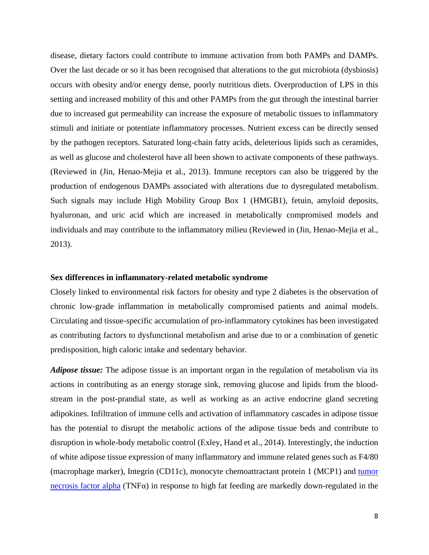disease, dietary factors could contribute to immune activation from both PAMPs and DAMPs. Over the last decade or so it has been recognised that alterations to the gut microbiota (dysbiosis) occurs with obesity and/or energy dense, poorly nutritious diets. Overproduction of LPS in this setting and increased mobility of this and other PAMPs from the gut through the intestinal barrier due to increased gut permeability can increase the exposure of metabolic tissues to inflammatory stimuli and initiate or potentiate inflammatory processes. Nutrient excess can be directly sensed by the pathogen receptors. Saturated long-chain fatty acids, deleterious lipids such as ceramides, as well as glucose and cholesterol have all been shown to activate components of these pathways. (Reviewed in (Jin, Henao-Mejia et al., 2013). Immune receptors can also be triggered by the production of endogenous DAMPs associated with alterations due to dysregulated metabolism. Such signals may include [High Mobility Group Box 1](https://www.sciencedirect.com/topics/biochemistry-genetics-and-molecular-biology/hmgb1) (HMGB1), [fetuin,](https://www.sciencedirect.com/topics/biochemistry-genetics-and-molecular-biology/fetuin) [amyloid](https://www.sciencedirect.com/topics/biochemistry-genetics-and-molecular-biology/amyloid) deposits, [hyaluronan,](https://www.sciencedirect.com/topics/biochemistry-genetics-and-molecular-biology/hyaluronan) and [uric acid](https://www.sciencedirect.com/topics/medicine-and-dentistry/uric-acid) which are increased in metabolically compromised models and individuals and may contribute to the inflammatory milieu (Reviewed in (Jin, Henao-Mejia et al., 2013).

## **Sex differences in inflammatory-related metabolic syndrome**

Closely linked to environmental risk factors for obesity and type 2 diabetes is the observation of chronic low-grade inflammation in metabolically compromised patients and animal models. Circulating and tissue-specific accumulation of pro-inflammatory cytokines has been investigated as contributing factors to dysfunctional metabolism and arise due to or a combination of genetic predisposition, high caloric intake and sedentary behavior.

*Adipose tissue:* The adipose tissue is an important organ in the regulation of metabolism via its actions in contributing as an energy storage sink, removing glucose and lipids from the bloodstream in the post-prandial state, as well as working as an active endocrine gland secreting adipokines. Infiltration of immune cells and activation of inflammatory cascades in adipose tissue has the potential to disrupt the metabolic actions of the adipose tissue beds and contribute to disruption in whole-body metabolic control (Exley, Hand et al., 2014). Interestingly, the induction of white adipose tissue expression of many inflammatory and immune related genes such as F4/80 (macrophage marker), Integrin (CD11c), monocyte chemoattractant protein 1 (MCP1) and [tumor](http://www.guidetopharmacology.org/GRAC/LigandDisplayForward?ligandId=5073)  [necrosis factor alpha](http://www.guidetopharmacology.org/GRAC/LigandDisplayForward?ligandId=5073) (TNF $\alpha$ ) in response to high fat feeding are markedly down-regulated in the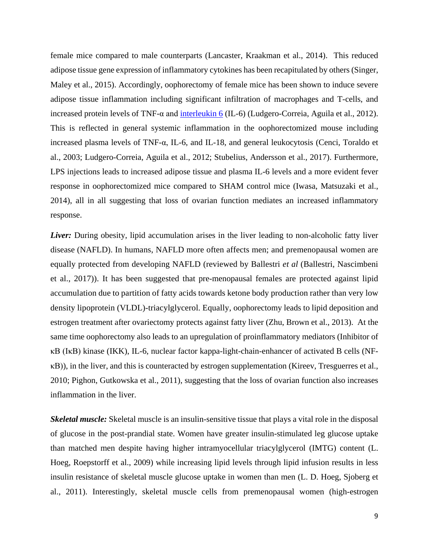female mice compared to male counterparts (Lancaster, Kraakman et al., 2014). This reduced adipose tissue gene expression of inflammatory cytokines has been recapitulated by others (Singer, Maley et al., 2015). Accordingly, oophorectomy of female mice has been shown to induce severe adipose tissue inflammation including significant infiltration of macrophages and T-cells, and increased protein levels of TNF-α and [interleukin 6](http://www.guidetopharmacology.org/GRAC/LigandDisplayForward?ligandId=4998) (IL-6) (Ludgero-Correia, Aguila et al., 2012). This is reflected in general systemic inflammation in the oophorectomized mouse including increased plasma levels of TNF-α, IL-6, and IL-18, and general leukocytosis (Cenci, Toraldo et al., 2003; Ludgero-Correia, Aguila et al., 2012; Stubelius, Andersson et al., 2017). Furthermore, LPS injections leads to increased adipose tissue and plasma IL-6 levels and a more evident fever response in oophorectomized mice compared to SHAM control mice (Iwasa, Matsuzaki et al., 2014), all in all suggesting that loss of ovarian function mediates an increased inflammatory response.

*Liver*: During obesity, lipid accumulation arises in the liver leading to non-alcoholic fatty liver disease (NAFLD). In humans, NAFLD more often affects men; and premenopausal women are equally protected from developing NAFLD (reviewed by Ballestri *et al* (Ballestri, Nascimbeni et al., 2017)). It has been suggested that pre-menopausal females are protected against lipid accumulation due to partition of fatty acids towards ketone body production rather than very low density lipoprotein (VLDL)-triacylglycerol. Equally, oophorectomy leads to lipid deposition and estrogen treatment after ovariectomy protects against fatty liver (Zhu, Brown et al., 2013). At the same time oophorectomy also leads to an upregulation of proinflammatory mediators (Inhibitor of κB (IκB) kinase (IKK), IL-6, nuclear factor kappa-light-chain-enhancer of activated B cells (NFκB)), in the liver, and this is counteracted by estrogen supplementation (Kireev, Tresguerres et al., 2010; Pighon, Gutkowska et al., 2011), suggesting that the loss of ovarian function also increases inflammation in the liver.

*Skeletal muscle:* Skeletal muscle is an insulin-sensitive tissue that plays a vital role in the disposal of glucose in the post-prandial state. Women have greater insulin-stimulated leg glucose uptake than matched men despite having higher intramyocellular triacylglycerol (IMTG) content (L. Hoeg, Roepstorff et al., 2009) while increasing lipid levels through lipid infusion results in less insulin resistance of skeletal muscle glucose uptake in women than men (L. D. Hoeg, Sjoberg et al., 2011). Interestingly, skeletal muscle cells from premenopausal women (high-estrogen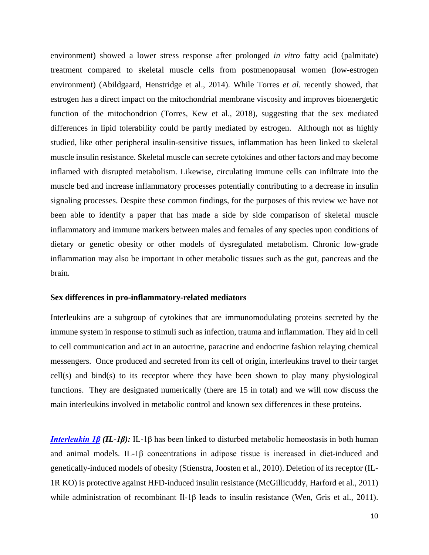environment) showed a lower stress response after prolonged *in vitro* fatty acid (palmitate) treatment compared to skeletal muscle cells from postmenopausal women (low-estrogen environment) (Abildgaard, Henstridge et al., 2014). While Torres *et al.* recently showed, that estrogen has a direct impact on the mitochondrial membrane viscosity and improves bioenergetic function of the mitochondrion (Torres, Kew et al., 2018), suggesting that the sex mediated differences in lipid tolerability could be partly mediated by estrogen. Although not as highly studied, like other peripheral insulin-sensitive tissues, inflammation has been linked to skeletal muscle insulin resistance. Skeletal muscle can secrete cytokines and other factors and may become inflamed with disrupted metabolism. Likewise, circulating immune cells can infiltrate into the muscle bed and increase inflammatory processes potentially contributing to a decrease in insulin signaling processes. Despite these common findings, for the purposes of this review we have not been able to identify a paper that has made a side by side comparison of skeletal muscle inflammatory and immune markers between males and females of any species upon conditions of dietary or genetic obesity or other models of dysregulated metabolism. Chronic low-grade inflammation may also be important in other metabolic tissues such as the gut, pancreas and the brain.

### **Sex differences in pro-inflammatory-related mediators**

Interleukins are a subgroup of cytokines that are immunomodulating proteins secreted by the immune system in response to stimuli such as infection, trauma and inflammation. They aid in cell to cell communication and act in an autocrine, paracrine and endocrine fashion relaying chemical messengers. Once produced and secreted from its cell of origin, interleukins travel to their target cell(s) and bind(s) to its receptor where they have been shown to play many physiological functions. They are designated numerically (there are 15 in total) and we will now discuss the main interleukins involved in metabolic control and known sex differences in these proteins.

*[Interleukin 1β](http://www.guidetopharmacology.org/GRAC/LigandDisplayForward?ligandId=4974) (IL-1β):* IL-1β has been linked to disturbed metabolic homeostasis in both human and animal models. IL-1β concentrations in adipose tissue is increased in diet-induced and genetically-induced models of obesity (Stienstra, Joosten et al., 2010). Deletion of its receptor (IL-1R KO) is protective against HFD-induced insulin resistance (McGillicuddy, Harford et al., 2011) while administration of recombinant Il-1β leads to insulin resistance (Wen, Gris et al., 2011).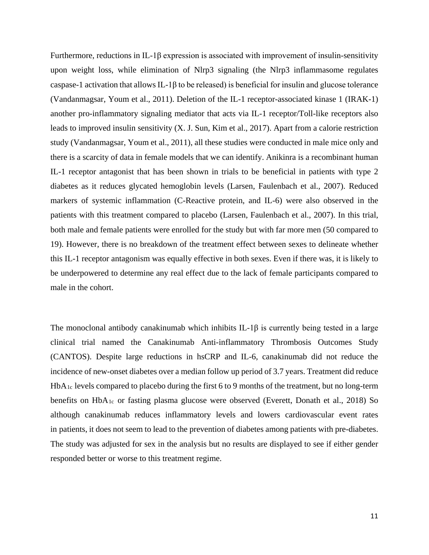Furthermore, reductions in IL-1β expression is associated with improvement of insulin-sensitivity upon weight loss, while elimination of Nlrp3 signaling (the Nlrp3 inflammasome regulates caspase-1 activation that allows IL-1 $\beta$  to be released) is beneficial for insulin and glucose tolerance (Vandanmagsar, Youm et al., 2011). Deletion of the IL-1 receptor-associated kinase 1 (IRAK-1) another pro-inflammatory signaling mediator that acts via IL-1 receptor/Toll-like receptors also leads to improved insulin sensitivity (X. J. Sun, Kim et al., 2017). Apart from a calorie restriction study (Vandanmagsar, Youm et al., 2011), all these studies were conducted in male mice only and there is a scarcity of data in female models that we can identify. Anikinra is a recombinant human IL-1 receptor antagonist that has been shown in trials to be beneficial in patients with type 2 diabetes as it reduces glycated hemoglobin levels (Larsen, Faulenbach et al., 2007). Reduced markers of systemic inflammation (C-Reactive protein, and IL-6) were also observed in the patients with this treatment compared to placebo (Larsen, Faulenbach et al., 2007). In this trial, both male and female patients were enrolled for the study but with far more men (50 compared to 19). However, there is no breakdown of the treatment effect between sexes to delineate whether this IL-1 receptor antagonism was equally effective in both sexes. Even if there was, it is likely to be underpowered to determine any real effect due to the lack of female participants compared to male in the cohort.

The monoclonal antibody canakinumab which inhibits IL-1 $\beta$  is currently being tested in a large clinical trial named the Canakinumab Anti-inflammatory Thrombosis Outcomes Study (CANTOS). Despite large reductions in hsCRP and IL-6, canakinumab did not reduce the incidence of new-onset diabetes over a median follow up period of 3.7 years. Treatment did reduce HbA1c levels compared to placebo during the first 6 to 9 months of the treatment, but no long-term benefits on HbA1c or fasting plasma glucose were observed (Everett, Donath et al., 2018) So although canakinumab reduces inflammatory levels and lowers cardiovascular event rates in patients, it does not seem to lead to the prevention of diabetes among patients with pre-diabetes. The study was adjusted for sex in the analysis but no results are displayed to see if either gender responded better or worse to this treatment regime.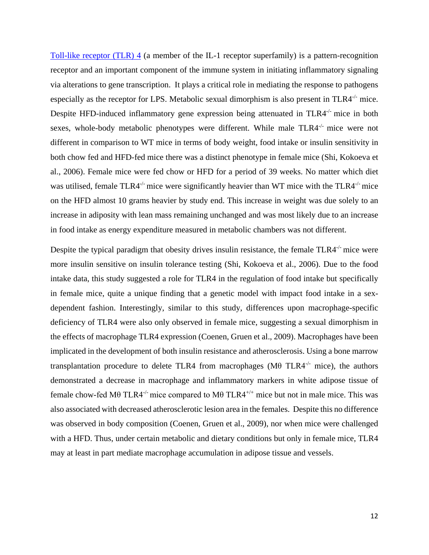[Toll-like receptor \(TLR\) 4](http://www.guidetopharmacology.org/GRAC/ObjectDisplayForward?objectId=1754) (a member of the IL-1 receptor superfamily) is a pattern-recognition receptor and an important component of the immune system in initiating inflammatory signaling via alterations to gene transcription. It plays a critical role in mediating the response to pathogens especially as the receptor for LPS. Metabolic sexual dimorphism is also present in TLR4<sup>-/-</sup> mice. Despite HFD-induced inflammatory gene expression being attenuated in TLR4<sup>-/-</sup> mice in both sexes, whole-body metabolic phenotypes were different. While male TLR4-/- mice were not different in comparison to WT mice in terms of body weight, food intake or insulin sensitivity in both chow fed and HFD-fed mice there was a distinct phenotype in female mice (Shi, Kokoeva et al., 2006). Female mice were fed chow or HFD for a period of 39 weeks. No matter which diet was utilised, female TLR4<sup>-/-</sup> mice were significantly heavier than WT mice with the TLR4<sup>-/-</sup> mice on the HFD almost 10 grams heavier by study end. This increase in weight was due solely to an increase in adiposity with lean mass remaining unchanged and was most likely due to an increase in food intake as energy expenditure measured in metabolic chambers was not different.

Despite the typical paradigm that obesity drives insulin resistance, the female TLR4<sup>-/-</sup> mice were more insulin sensitive on insulin tolerance testing (Shi, Kokoeva et al., 2006). Due to the food intake data, this study suggested a role for TLR4 in the regulation of food intake but specifically in female mice, quite a unique finding that a genetic model with impact food intake in a sexdependent fashion. Interestingly, similar to this study, differences upon macrophage-specific deficiency of TLR4 were also only observed in female mice, suggesting a sexual dimorphism in the effects of macrophage TLR4 expression (Coenen, Gruen et al., 2009). Macrophages have been implicated in the development of both insulin resistance and atherosclerosis. Using a bone marrow transplantation procedure to delete TLR4 from macrophages ( $M\theta$  TLR4<sup>-/-</sup> mice), the authors demonstrated a decrease in macrophage and inflammatory markers in white adipose tissue of female chow-fed Mθ TLR4<sup>-/-</sup> mice compared to Mθ TLR4<sup>+/+</sup> mice but not in male mice. This was also associated with decreased atherosclerotic lesion area in the females. Despite this no difference was observed in body composition (Coenen, Gruen et al., 2009), nor when mice were challenged with a HFD. Thus, under certain metabolic and dietary conditions but only in female mice, TLR4 may at least in part mediate macrophage accumulation in adipose tissue and vessels.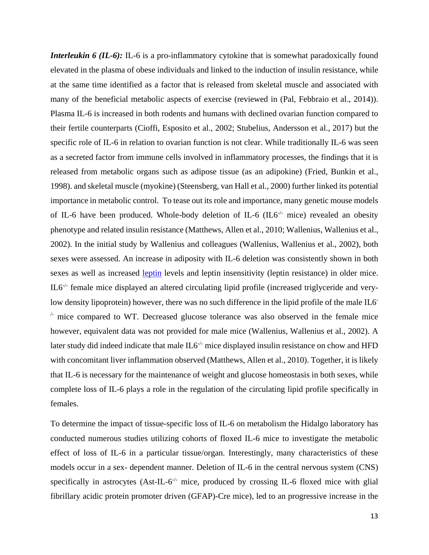*Interleukin 6 (IL-6):* IL-6 is a pro-inflammatory cytokine that is somewhat paradoxically found elevated in the plasma of obese individuals and linked to the induction of insulin resistance, while at the same time identified as a factor that is released from skeletal muscle and associated with many of the beneficial metabolic aspects of exercise (reviewed in (Pal, Febbraio et al., 2014)). Plasma IL-6 is increased in both rodents and humans with declined ovarian function compared to their fertile counterparts (Cioffi, Esposito et al., 2002; Stubelius, Andersson et al., 2017) but the specific role of IL-6 in relation to ovarian function is not clear. While traditionally IL-6 was seen as a secreted factor from immune cells involved in inflammatory processes, the findings that it is released from metabolic organs such as adipose tissue (as an adipokine) (Fried, Bunkin et al., 1998). and skeletal muscle (myokine) (Steensberg, van Hall et al., 2000) further linked its potential importance in metabolic control. To tease out its role and importance, many genetic mouse models of IL-6 have been produced. Whole-body deletion of IL-6 (IL6<sup>-/-</sup> mice) revealed an obesity phenotype and related insulin resistance (Matthews, Allen et al., 2010; Wallenius, Wallenius et al., 2002). In the initial study by Wallenius and colleagues (Wallenius, Wallenius et al., 2002), both sexes were assessed. An increase in adiposity with IL-6 deletion was consistently shown in both sexes as well as increased [leptin](http://www.guidetopharmacology.org/GRAC/LigandDisplayForward?ligandId=5015) levels and leptin insensitivity (leptin resistance) in older mice. IL6-/- female mice displayed an altered circulating lipid profile (increased triglyceride and verylow density lipoprotein) however, there was no such difference in the lipid profile of the male IL6<sup>-</sup>  $\ell$  mice compared to WT. Decreased glucose tolerance was also observed in the female mice however, equivalent data was not provided for male mice (Wallenius, Wallenius et al., 2002). A later study did indeed indicate that male  $IL6<sup>-/-</sup>$  mice displayed insulin resistance on chow and HFD with concomitant liver inflammation observed (Matthews, Allen et al., 2010). Together, it is likely that IL-6 is necessary for the maintenance of weight and glucose homeostasis in both sexes, while complete loss of IL-6 plays a role in the regulation of the circulating lipid profile specifically in females.

To determine the impact of tissue-specific loss of IL-6 on metabolism the Hidalgo laboratory has conducted numerous studies utilizing cohorts of floxed IL-6 mice to investigate the metabolic effect of loss of IL-6 in a particular tissue/organ. Interestingly, many characteristics of these models occur in a sex- dependent manner. Deletion of IL-6 in the central nervous system (CNS) specifically in astrocytes  $(Ast-IL-6^{-/-})$  mice, produced by crossing IL-6 floxed mice with glial fibrillary acidic protein promoter driven (GFAP)-Cre mice), led to an progressive increase in the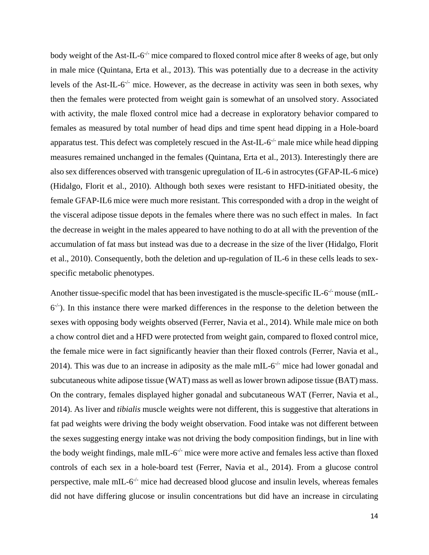body weight of the Ast-IL-6<sup>-/-</sup> mice compared to floxed control mice after 8 weeks of age, but only in male mice (Quintana, Erta et al., 2013). This was potentially due to a decrease in the activity levels of the Ast-IL- $6^{-/-}$  mice. However, as the decrease in activity was seen in both sexes, why then the females were protected from weight gain is somewhat of an unsolved story. Associated with activity, the male floxed control mice had a decrease in exploratory behavior compared to females as measured by total number of head dips and time spent head dipping in a Hole-board apparatus test. This defect was completely rescued in the Ast-IL- $6<sup>-/-</sup>$  male mice while head dipping measures remained unchanged in the females (Quintana, Erta et al., 2013). Interestingly there are also sex differences observed with transgenic upregulation of IL-6 in astrocytes (GFAP-IL-6 mice) (Hidalgo, Florit et al., 2010). Although both sexes were resistant to HFD-initiated obesity, the female GFAP-IL6 mice were much more resistant. This corresponded with a drop in the weight of the visceral adipose tissue depots in the females where there was no such effect in males. In fact the decrease in weight in the males appeared to have nothing to do at all with the prevention of the accumulation of fat mass but instead was due to a decrease in the size of the liver (Hidalgo, Florit et al., 2010). Consequently, both the deletion and up-regulation of IL-6 in these cells leads to sexspecific metabolic phenotypes.

Another tissue-specific model that has been investigated is the muscle-specific IL- $6<sup>-/-</sup>$  mouse (mIL- $6<sup>-/-</sup>$ ). In this instance there were marked differences in the response to the deletion between the sexes with opposing body weights observed (Ferrer, Navia et al., 2014). While male mice on both a chow control diet and a HFD were protected from weight gain, compared to floxed control mice, the female mice were in fact significantly heavier than their floxed controls (Ferrer, Navia et al., 2014). This was due to an increase in adiposity as the male mIL- $6<sup>-/-</sup>$  mice had lower gonadal and subcutaneous white adipose tissue (WAT) mass as well as lower brown adipose tissue (BAT) mass. On the contrary, females displayed higher gonadal and subcutaneous WAT (Ferrer, Navia et al., 2014). As liver and *tibialis* muscle weights were not different, this is suggestive that alterations in fat pad weights were driving the body weight observation. Food intake was not different between the sexes suggesting energy intake was not driving the body composition findings, but in line with the body weight findings, male mIL- $6^{-/-}$  mice were more active and females less active than floxed controls of each sex in a hole-board test (Ferrer, Navia et al., 2014). From a glucose control perspective, male mIL- $6^{-/-}$  mice had decreased blood glucose and insulin levels, whereas females did not have differing glucose or insulin concentrations but did have an increase in circulating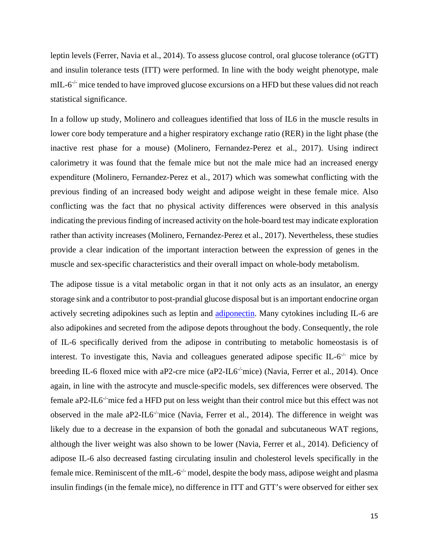leptin levels (Ferrer, Navia et al., 2014). To assess glucose control, oral glucose tolerance (oGTT) and insulin tolerance tests (ITT) were performed. In line with the body weight phenotype, male mIL- $6^{-/-}$  mice tended to have improved glucose excursions on a HFD but these values did not reach statistical significance.

In a follow up study, Molinero and colleagues identified that loss of IL6 in the muscle results in lower core body temperature and a higher respiratory exchange ratio (RER) in the light phase (the inactive rest phase for a mouse) (Molinero, Fernandez-Perez et al., 2017). Using indirect calorimetry it was found that the female mice but not the male mice had an increased energy expenditure (Molinero, Fernandez-Perez et al., 2017) which was somewhat conflicting with the previous finding of an increased body weight and adipose weight in these female mice. Also conflicting was the fact that no physical activity differences were observed in this analysis indicating the previous finding of increased activity on the hole-board test may indicate exploration rather than activity increases (Molinero, Fernandez-Perez et al., 2017). Nevertheless, these studies provide a clear indication of the important interaction between the expression of genes in the muscle and sex-specific characteristics and their overall impact on whole-body metabolism.

The adipose tissue is a vital metabolic organ in that it not only acts as an insulator, an energy storage sink and a contributor to post-prandial glucose disposal but is an important endocrine organ actively secreting adipokines such as leptin and [adiponectin.](http://www.guidetopharmacology.org/GRAC/LigandDisplayForward?ligandId=3726) Many cytokines including IL-6 are also adipokines and secreted from the adipose depots throughout the body. Consequently, the role of IL-6 specifically derived from the adipose in contributing to metabolic homeostasis is of interest. To investigate this, Navia and colleagues generated adipose specific IL- $6<sup>-/-</sup>$  mice by breeding IL-6 floxed mice with aP2-cre mice (aP2-IL6<sup>-/-</sup>mice) (Navia, Ferrer et al., 2014). Once again, in line with the astrocyte and muscle-specific models, sex differences were observed. The female aP2-IL6<sup>-/-</sup>mice fed a HFD put on less weight than their control mice but this effect was not observed in the male aP2-IL6<sup>-/-</sup>mice (Navia, Ferrer et al., 2014). The difference in weight was likely due to a decrease in the expansion of both the gonadal and subcutaneous WAT regions, although the liver weight was also shown to be lower (Navia, Ferrer et al., 2014). Deficiency of adipose IL-6 also decreased fasting circulating insulin and cholesterol levels specifically in the female mice. Reminiscent of the mIL- $6^{-/-}$  model, despite the body mass, adipose weight and plasma insulin findings (in the female mice), no difference in ITT and GTT's were observed for either sex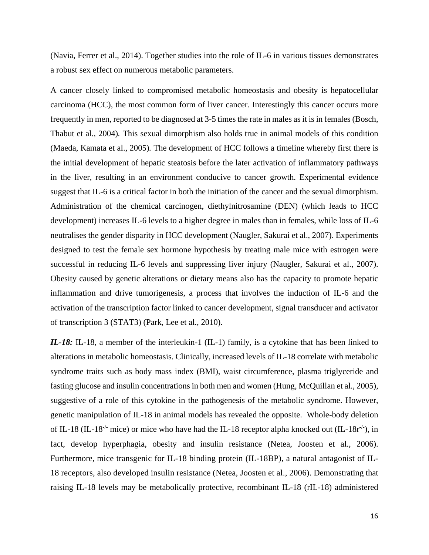(Navia, Ferrer et al., 2014). Together studies into the role of IL-6 in various tissues demonstrates a robust sex effect on numerous metabolic parameters.

A cancer closely linked to compromised metabolic homeostasis and obesity is hepatocellular carcinoma (HCC), the most common form of liver cancer. Interestingly this cancer occurs more frequently in men, reported to be diagnosed at 3-5 times the rate in males as it is in females (Bosch, Thabut et al., 2004)*.* This sexual dimorphism also holds true in animal models of this condition (Maeda, Kamata et al., 2005)*.* The development of HCC follows a timeline whereby first there is the initial development of hepatic steatosis before the later activation of inflammatory pathways in the liver, resulting in an environment conducive to cancer growth. Experimental evidence suggest that IL-6 is a critical factor in both the initiation of the cancer and the sexual dimorphism. Administration of the chemical carcinogen, diethylnitrosamine (DEN) (which leads to HCC development) increases IL-6 levels to a higher degree in males than in females, while loss of IL-6 neutralises the gender disparity in HCC development (Naugler, Sakurai et al., 2007). Experiments designed to test the female sex hormone hypothesis by treating male mice with estrogen were successful in reducing IL-6 levels and suppressing liver injury (Naugler, Sakurai et al., 2007). Obesity caused by genetic alterations or dietary means also has the capacity to promote hepatic inflammation and drive tumorigenesis, a process that involves the induction of IL-6 and the activation of the transcription factor linked to cancer development, signal transducer and activator of transcription 3 (STAT3) (Park, Lee et al., 2010).

*IL-18:* IL-18, a member of the interleukin-1 (IL-1) family, is a cytokine that has been linked to alterations in metabolic homeostasis. Clinically, increased levels of IL-18 correlate with metabolic syndrome traits such as body mass index (BMI), waist circumference, plasma triglyceride and fasting glucose and insulin concentrations in both men and women (Hung, McQuillan et al., 2005), suggestive of a role of this cytokine in the pathogenesis of the metabolic syndrome. However, genetic manipulation of IL-18 in animal models has revealed the opposite. Whole-body deletion of IL-18 (IL-18<sup>-/-</sup> mice) or mice who have had the IL-18 receptor alpha knocked out (IL-18r<sup>-/-</sup>), in fact, develop hyperphagia, obesity and insulin resistance (Netea, Joosten et al., 2006). Furthermore, mice transgenic for IL-18 binding protein (IL-18BP), a natural antagonist of IL-18 receptors, also developed insulin resistance (Netea, Joosten et al., 2006). Demonstrating that raising IL-18 levels may be metabolically protective, recombinant IL-18 (rIL-18) administered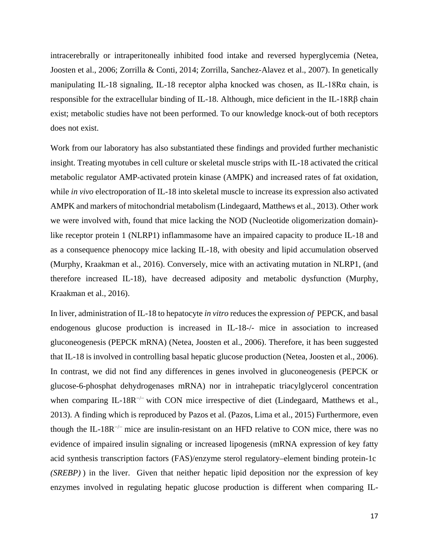intracerebrally or intraperitoneally inhibited food intake and reversed hyperglycemia (Netea, Joosten et al., 2006; Zorrilla & Conti, 2014; Zorrilla, Sanchez-Alavez et al., 2007). In genetically manipulating IL-18 signaling, IL-18 receptor alpha knocked was chosen, as IL-18Rα chain, is responsible for the extracellular binding of IL-18. Although, mice deficient in the IL-18Rβ chain exist; metabolic studies have not been performed. To our knowledge knock-out of both receptors does not exist.

Work from our laboratory has also substantiated these findings and provided further mechanistic insight. Treating myotubes in cell culture or skeletal muscle strips with IL-18 activated the critical metabolic regulator AMP-activated protein kinase (AMPK) and increased rates of fat oxidation, while *in vivo* electroporation of IL-18 into skeletal muscle to increase its expression also activated AMPK and markers of mitochondrial metabolism (Lindegaard, Matthews et al., 2013). Other work we were involved with, found that mice lacking the NOD (Nucleotide oligomerization domain) like receptor protein 1 (NLRP1) inflammasome have an impaired capacity to produce IL-18 and as a consequence phenocopy mice lacking IL-18, with obesity and lipid accumulation observed (Murphy, Kraakman et al., 2016). Conversely, mice with an activating mutation in NLRP1, (and therefore increased IL-18), have decreased adiposity and metabolic dysfunction (Murphy, Kraakman et al., 2016).

In liver, administration of IL-18 to hepatocyte *in vitro* reduces the expression *of* PEPCK, and basal endogenous glucose production is increased in IL-18-/- mice in association to increased gluconeogenesis (PEPCK mRNA) (Netea, Joosten et al., 2006). Therefore, it has been suggested that IL-18 is involved in controlling basal hepatic glucose production (Netea, Joosten et al., 2006). In contrast, we did not find any differences in genes involved in gluconeogenesis (PEPCK or glucose-6-phosphat dehydrogenases mRNA) nor in intrahepatic triacylglycerol concentration when comparing IL-18R<sup> $-/-$ </sup> with CON mice irrespective of diet (Lindegaard, Matthews et al., 2013). A finding which is reproduced by Pazos et al. (Pazos, Lima et al., 2015) Furthermore, even though the IL-18R<sup> $-/-$ </sup> mice are insulin-resistant on an HFD relative to CON mice, there was no evidence of impaired insulin signaling or increased lipogenesis (mRNA expression of key fatty acid synthesis transcription factors (FAS)/enzyme sterol regulatory–element binding protein-1c *(SREBP)* ) in the liver. Given that neither hepatic lipid deposition nor the expression of key enzymes involved in regulating hepatic glucose production is different when comparing IL-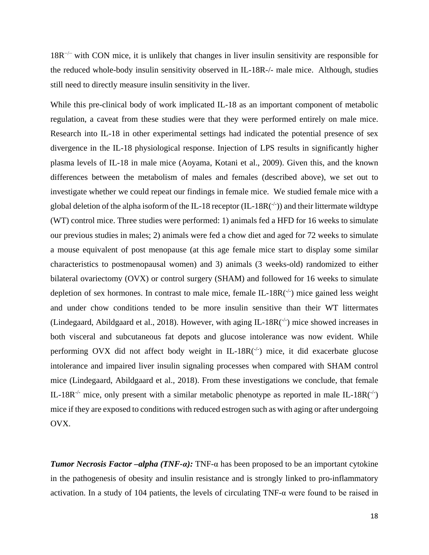18R−/− with CON mice, it is unlikely that changes in liver insulin sensitivity are responsible for the reduced whole-body insulin sensitivity observed in IL-18R-/- male mice. Although, studies still need to directly measure insulin sensitivity in the liver.

While this pre-clinical body of work implicated IL-18 as an important component of metabolic regulation, a caveat from these studies were that they were performed entirely on male mice. Research into IL-18 in other experimental settings had indicated the potential presence of sex divergence in the IL-18 physiological response. Injection of LPS results in significantly higher plasma levels of IL-18 in male mice (Aoyama, Kotani et al., 2009). Given this, and the known differences between the metabolism of males and females (described above), we set out to investigate whether we could repeat our findings in female mice. We studied female mice with a global deletion of the alpha isoform of the IL-18 receptor (IL-18R( $\dot{\ }$ )) and their littermate wildtype (WT) control mice. Three studies were performed: 1) animals fed a HFD for 16 weeks to simulate our previous studies in males; 2) animals were fed a chow diet and aged for 72 weeks to simulate a mouse equivalent of post menopause (at this age female mice start to display some similar characteristics to postmenopausal women) and 3) animals (3 weeks-old) randomized to either bilateral ovariectomy (OVX) or control surgery (SHAM) and followed for 16 weeks to simulate depletion of sex hormones. In contrast to male mice, female IL-18 $R$ <sup>-/-</sup>) mice gained less weight and under chow conditions tended to be more insulin sensitive than their WT littermates (Lindegaard, Abildgaard et al., 2018). However, with aging IL-18 $R(^{-/-})$  mice showed increases in both visceral and subcutaneous fat depots and glucose intolerance was now evident. While performing OVX did not affect body weight in IL-18R(-1) mice, it did exacerbate glucose intolerance and impaired liver insulin signaling processes when compared with SHAM control mice (Lindegaard, Abildgaard et al., 2018). From these investigations we conclude, that female IL-18R<sup>-/-</sup> mice, only present with a similar metabolic phenotype as reported in male IL-18R( $\cdot$ ) mice if they are exposed to conditions with reduced estrogen such as with aging or after undergoing OVX.

*Tumor Necrosis Factor –alpha (TNF-α):* TNF-α has been proposed to be an important cytokine in the pathogenesis of obesity and insulin resistance and is strongly linked to pro-inflammatory activation. In a study of 104 patients, the levels of circulating TNF-α were found to be raised in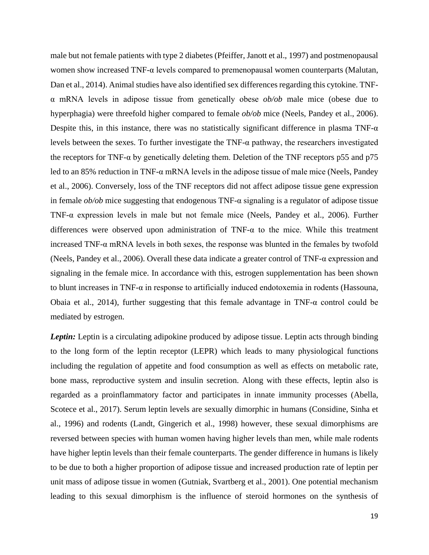male but not female patients with type 2 diabetes (Pfeiffer, Janott et al., 1997) and postmenopausal women show increased TNF- $\alpha$  levels compared to premenopausal women counterparts (Malutan, Dan et al., 2014). Animal studies have also identified sex differences regarding this cytokine. TNFα mRNA levels in adipose tissue from genetically obese *ob/ob* male mice (obese due to hyperphagia) were threefold higher compared to female *ob/ob* mice (Neels, Pandey et al., 2006). Despite this, in this instance, there was no statistically significant difference in plasma TNF- $\alpha$ levels between the sexes. To further investigate the  $TNF-\alpha$  pathway, the researchers investigated the receptors for TNF-α by genetically deleting them. Deletion of the TNF receptors p55 and p75 led to an 85% reduction in TNF- $\alpha$  mRNA levels in the adipose tissue of male mice (Neels, Pandey et al., 2006). Conversely, loss of the TNF receptors did not affect adipose tissue gene expression in female *ob/ob* mice suggesting that endogenous TNF-α signaling is a regulator of adipose tissue TNF-α expression levels in male but not female mice (Neels, Pandey et al., 2006). Further differences were observed upon administration of TNF-α to the mice. While this treatment increased TNF-α mRNA levels in both sexes, the response was blunted in the females by twofold (Neels, Pandey et al., 2006). Overall these data indicate a greater control of TNF-α expression and signaling in the female mice. In accordance with this, estrogen supplementation has been shown to blunt increases in TNF- $\alpha$  in response to artificially induced endotoxemia in rodents (Hassouna, Obaia et al., 2014), further suggesting that this female advantage in TNF- $\alpha$  control could be mediated by estrogen.

*Leptin:* Leptin is a circulating adipokine produced by adipose tissue. Leptin acts through binding to the long form of the leptin receptor (LEPR) which leads to many physiological functions including the regulation of appetite and food consumption as well as effects on metabolic rate, bone mass, reproductive system and insulin secretion. Along with these effects, leptin also is regarded as a proinflammatory factor and participates in innate immunity processes (Abella, Scotece et al., 2017). Serum leptin levels are sexually dimorphic in humans (Considine, Sinha et al., 1996) and rodents (Landt, Gingerich et al., 1998) however, these sexual dimorphisms are reversed between species with human women having higher levels than men, while male rodents have higher leptin levels than their female counterparts. The gender difference in humans is likely to be due to both a higher proportion of adipose tissue and increased production rate of leptin per unit mass of adipose tissue in women (Gutniak, Svartberg et al., 2001). One potential mechanism leading to this sexual dimorphism is the influence of steroid hormones on the synthesis of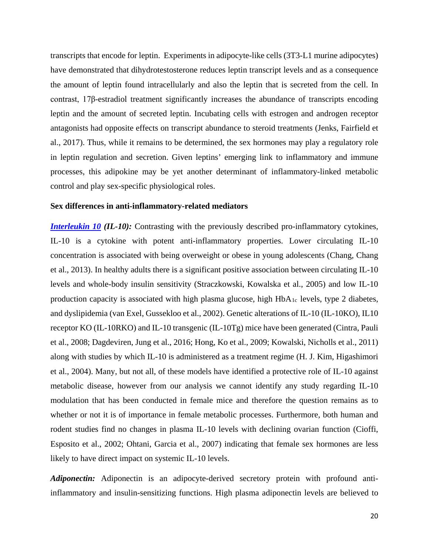transcripts that encode for leptin. Experiments in adipocyte-like cells (3T3-L1 murine adipocytes) have demonstrated that dihydrotestosterone reduces leptin transcript levels and as a consequence the amount of leptin found intracellularly and also the leptin that is secreted from the cell. In contrast, 17β-estradiol treatment significantly increases the abundance of transcripts encoding leptin and the amount of secreted leptin. Incubating cells with estrogen and androgen receptor antagonists had opposite effects on transcript abundance to steroid treatments (Jenks, Fairfield et al., 2017). Thus, while it remains to be determined, the sex hormones may play a regulatory role in leptin regulation and secretion. Given leptins' emerging link to inflammatory and immune processes, this adipokine may be yet another determinant of inflammatory-linked metabolic control and play sex-specific physiological roles.

## **Sex differences in anti-inflammatory-related mediators**

*[Interleukin 10](http://www.guidetopharmacology.org/GRAC/LigandDisplayForward?ligandId=4975) (IL-10):* Contrasting with the previously described pro-inflammatory cytokines, IL-10 is a cytokine with potent anti-inflammatory properties. Lower circulating IL-10 concentration is associated with being overweight or obese in young adolescents (Chang, Chang et al., 2013). In healthy adults there is a significant positive association between circulating IL-10 levels and whole-body insulin sensitivity (Straczkowski, Kowalska et al., 2005) and low IL-10 production capacity is associated with high plasma glucose, high HbA1c levels, type 2 diabetes, and dyslipidemia (van Exel, Gussekloo et al., 2002). Genetic alterations of IL-10 (IL-10KO), IL10 receptor KO (IL-10RKO) and IL-10 transgenic (IL-10Tg) mice have been generated (Cintra, Pauli et al., 2008; Dagdeviren, Jung et al., 2016; Hong, Ko et al., 2009; Kowalski, Nicholls et al., 2011) along with studies by which IL-10 is administered as a treatment regime (H. J. Kim, Higashimori et al., 2004). Many, but not all, of these models have identified a protective role of IL-10 against metabolic disease, however from our analysis we cannot identify any study regarding IL-10 modulation that has been conducted in female mice and therefore the question remains as to whether or not it is of importance in female metabolic processes. Furthermore, both human and rodent studies find no changes in plasma IL-10 levels with declining ovarian function (Cioffi, Esposito et al., 2002; Ohtani, Garcia et al., 2007) indicating that female sex hormones are less likely to have direct impact on systemic IL-10 levels.

*Adiponectin:* Adiponectin is an adipocyte-derived secretory protein with profound antiinflammatory and insulin-sensitizing functions. High plasma adiponectin levels are believed to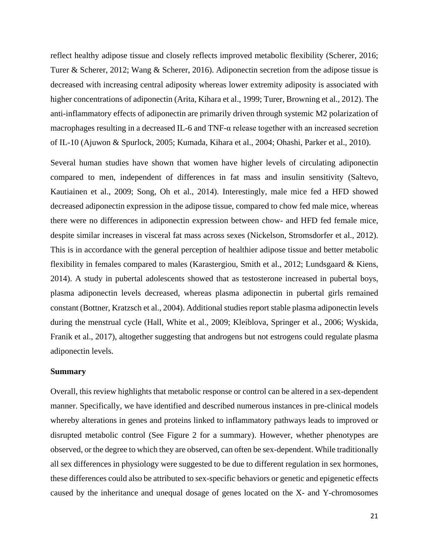reflect healthy adipose tissue and closely reflects improved metabolic flexibility (Scherer, 2016; Turer & Scherer, 2012; Wang & Scherer, 2016). Adiponectin secretion from the adipose tissue is decreased with increasing central adiposity whereas lower extremity adiposity is associated with higher concentrations of adiponectin (Arita, Kihara et al., 1999; Turer, Browning et al., 2012). The anti-inflammatory effects of adiponectin are primarily driven through systemic M2 polarization of macrophages resulting in a decreased IL-6 and TNF-α release together with an increased secretion of IL-10 (Ajuwon & Spurlock, 2005; Kumada, Kihara et al., 2004; Ohashi, Parker et al., 2010).

Several human studies have shown that women have higher levels of circulating adiponectin compared to men, independent of differences in fat mass and insulin sensitivity (Saltevo, Kautiainen et al., 2009; Song, Oh et al., 2014). Interestingly, male mice fed a HFD showed decreased adiponectin expression in the adipose tissue, compared to chow fed male mice, whereas there were no differences in adiponectin expression between chow- and HFD fed female mice, despite similar increases in visceral fat mass across sexes (Nickelson, Stromsdorfer et al., 2012). This is in accordance with the general perception of healthier adipose tissue and better metabolic flexibility in females compared to males (Karastergiou, Smith et al., 2012; Lundsgaard & Kiens, 2014). A study in pubertal adolescents showed that as testosterone increased in pubertal boys, plasma adiponectin levels decreased, whereas plasma adiponectin in pubertal girls remained constant (Bottner, Kratzsch et al., 2004). Additional studies report stable plasma adiponectin levels during the menstrual cycle (Hall, White et al., 2009; Kleiblova, Springer et al., 2006; Wyskida, Franik et al., 2017), altogether suggesting that androgens but not estrogens could regulate plasma adiponectin levels.

#### **Summary**

Overall, this review highlights that metabolic response or control can be altered in a sex-dependent manner. Specifically, we have identified and described numerous instances in pre-clinical models whereby alterations in genes and proteins linked to inflammatory pathways leads to improved or disrupted metabolic control (See Figure 2 for a summary). However, whether phenotypes are observed, or the degree to which they are observed, can often be sex-dependent. While traditionally all sex differences in physiology were suggested to be due to different regulation in sex hormones, these differences could also be attributed to sex-specific behaviors or genetic and epigenetic effects caused by the inheritance and unequal dosage of genes located on the X- and Y-chromosomes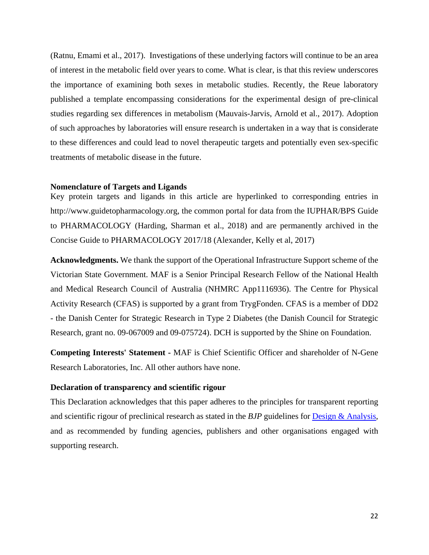(Ratnu, Emami et al., 2017). Investigations of these underlying factors will continue to be an area of interest in the metabolic field over years to come. What is clear, is that this review underscores the importance of examining both sexes in metabolic studies. Recently, the Reue laboratory published a template encompassing considerations for the experimental design of pre-clinical studies regarding sex differences in metabolism (Mauvais-Jarvis, Arnold et al., 2017). Adoption of such approaches by laboratories will ensure research is undertaken in a way that is considerate to these differences and could lead to novel therapeutic targets and potentially even sex-specific treatments of metabolic disease in the future.

### **Nomenclature of Targets and Ligands**

Key protein targets and ligands in this article are hyperlinked to corresponding entries in http://www.guidetopharmacology.org, the common portal for data from the IUPHAR/BPS Guide to PHARMACOLOGY (Harding, Sharman et al., 2018) and are permanently archived in the Concise Guide to PHARMACOLOGY 2017/18 (Alexander, Kelly et al, 2017)

**Acknowledgments.** We thank the support of the Operational Infrastructure Support scheme of the Victorian State Government. MAF is a Senior Principal Research Fellow of the National Health and Medical Research Council of Australia (NHMRC App1116936). The Centre for Physical Activity Research (CFAS) is supported by a grant from TrygFonden. CFAS is a member of DD2 - the Danish Center for Strategic Research in Type 2 Diabetes (the Danish Council for Strategic Research, grant no. 09-067009 and 09-075724). DCH is supported by the Shine on Foundation.

**Competing Interests' Statement -** MAF is Chief Scientific Officer and shareholder of N-Gene Research Laboratories, Inc. All other authors have none.

## **Declaration of transparency and scientific rigour**

This Declaration acknowledges that this paper adheres to the principles for transparent reporting and scientific rigour of preclinical research as stated in the *BJP* guidelines for [Design & Analysis,](https://bpspubs.onlinelibrary.wiley.com/doi/full/10.1111/bph.14207) and as recommended by funding agencies, publishers and other organisations engaged with supporting research.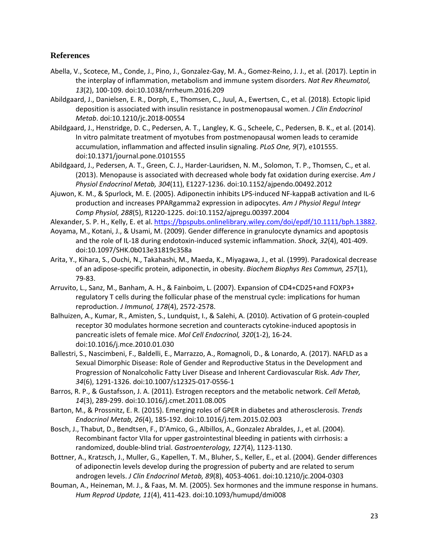# **References**

- Abella, V., Scotece, M., Conde, J., Pino, J., Gonzalez-Gay, M. A., Gomez-Reino, J. J., et al. (2017). Leptin in the interplay of inflammation, metabolism and immune system disorders. *Nat Rev Rheumatol, 13*(2), 100-109. doi:10.1038/nrrheum.2016.209
- Abildgaard, J., Danielsen, E. R., Dorph, E., Thomsen, C., Juul, A., Ewertsen, C., et al. (2018). Ectopic lipid deposition is associated with insulin resistance in postmenopausal women. *J Clin Endocrinol Metab*. doi:10.1210/jc.2018-00554
- Abildgaard, J., Henstridge, D. C., Pedersen, A. T., Langley, K. G., Scheele, C., Pedersen, B. K., et al. (2014). In vitro palmitate treatment of myotubes from postmenopausal women leads to ceramide accumulation, inflammation and affected insulin signaling. *PLoS One, 9*(7), e101555. doi:10.1371/journal.pone.0101555
- Abildgaard, J., Pedersen, A. T., Green, C. J., Harder-Lauridsen, N. M., Solomon, T. P., Thomsen, C., et al. (2013). Menopause is associated with decreased whole body fat oxidation during exercise. *Am J Physiol Endocrinol Metab, 304*(11), E1227-1236. doi:10.1152/ajpendo.00492.2012
- Ajuwon, K. M., & Spurlock, M. E. (2005). Adiponectin inhibits LPS-induced NF-kappaB activation and IL-6 production and increases PPARgamma2 expression in adipocytes. *Am J Physiol Regul Integr Comp Physiol, 288*(5), R1220-1225. doi:10.1152/ajpregu.00397.2004
- Alexander, S. P. H., Kelly, E. et al. [https://bpspubs.onlinelibrary.wiley.com/doi/epdf/10.1111/bph.13882.](https://bpspubs.onlinelibrary.wiley.com/doi/epdf/10.1111/bph.13882)
- Aoyama, M., Kotani, J., & Usami, M. (2009). Gender difference in granulocyte dynamics and apoptosis and the role of IL-18 during endotoxin-induced systemic inflammation. *Shock, 32*(4), 401-409. doi:10.1097/SHK.0b013e31819c358a
- Arita, Y., Kihara, S., Ouchi, N., Takahashi, M., Maeda, K., Miyagawa, J., et al. (1999). Paradoxical decrease of an adipose-specific protein, adiponectin, in obesity. *Biochem Biophys Res Commun, 257*(1), 79-83.
- Arruvito, L., Sanz, M., Banham, A. H., & Fainboim, L. (2007). Expansion of CD4+CD25+and FOXP3+ regulatory T cells during the follicular phase of the menstrual cycle: implications for human reproduction. *J Immunol, 178*(4), 2572-2578.
- Balhuizen, A., Kumar, R., Amisten, S., Lundquist, I., & Salehi, A. (2010). Activation of G protein-coupled receptor 30 modulates hormone secretion and counteracts cytokine-induced apoptosis in pancreatic islets of female mice. *Mol Cell Endocrinol, 320*(1-2), 16-24. doi:10.1016/j.mce.2010.01.030
- Ballestri, S., Nascimbeni, F., Baldelli, E., Marrazzo, A., Romagnoli, D., & Lonardo, A. (2017). NAFLD as a Sexual Dimorphic Disease: Role of Gender and Reproductive Status in the Development and Progression of Nonalcoholic Fatty Liver Disease and Inherent Cardiovascular Risk. *Adv Ther, 34*(6), 1291-1326. doi:10.1007/s12325-017-0556-1
- Barros, R. P., & Gustafsson, J. A. (2011). Estrogen receptors and the metabolic network. *Cell Metab, 14*(3), 289-299. doi:10.1016/j.cmet.2011.08.005
- Barton, M., & Prossnitz, E. R. (2015). Emerging roles of GPER in diabetes and atherosclerosis. *Trends Endocrinol Metab, 26*(4), 185-192. doi:10.1016/j.tem.2015.02.003
- Bosch, J., Thabut, D., Bendtsen, F., D'Amico, G., Albillos, A., Gonzalez Abraldes, J., et al. (2004). Recombinant factor VIIa for upper gastrointestinal bleeding in patients with cirrhosis: a randomized, double-blind trial. *Gastroenterology, 127*(4), 1123-1130.
- Bottner, A., Kratzsch, J., Muller, G., Kapellen, T. M., Bluher, S., Keller, E., et al. (2004). Gender differences of adiponectin levels develop during the progression of puberty and are related to serum androgen levels. *J Clin Endocrinol Metab, 89*(8), 4053-4061. doi:10.1210/jc.2004-0303
- Bouman, A., Heineman, M. J., & Faas, M. M. (2005). Sex hormones and the immune response in humans. *Hum Reprod Update, 11*(4), 411-423. doi:10.1093/humupd/dmi008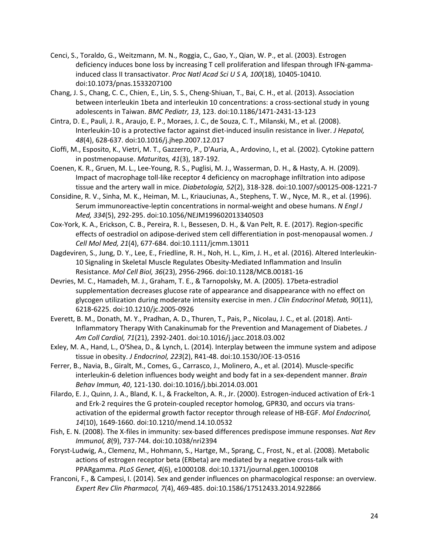- Cenci, S., Toraldo, G., Weitzmann, M. N., Roggia, C., Gao, Y., Qian, W. P., et al. (2003). Estrogen deficiency induces bone loss by increasing T cell proliferation and lifespan through IFN-gammainduced class II transactivator. *Proc Natl Acad Sci U S A, 100*(18), 10405-10410. doi:10.1073/pnas.1533207100
- Chang, J. S., Chang, C. C., Chien, E., Lin, S. S., Cheng-Shiuan, T., Bai, C. H., et al. (2013). Association between interleukin 1beta and interleukin 10 concentrations: a cross-sectional study in young adolescents in Taiwan. *BMC Pediatr, 13*, 123. doi:10.1186/1471-2431-13-123
- Cintra, D. E., Pauli, J. R., Araujo, E. P., Moraes, J. C., de Souza, C. T., Milanski, M., et al. (2008). Interleukin-10 is a protective factor against diet-induced insulin resistance in liver. *J Hepatol, 48*(4), 628-637. doi:10.1016/j.jhep.2007.12.017
- Cioffi, M., Esposito, K., Vietri, M. T., Gazzerro, P., D'Auria, A., Ardovino, I., et al. (2002). Cytokine pattern in postmenopause. *Maturitas, 41*(3), 187-192.
- Coenen, K. R., Gruen, M. L., Lee-Young, R. S., Puglisi, M. J., Wasserman, D. H., & Hasty, A. H. (2009). Impact of macrophage toll-like receptor 4 deficiency on macrophage infiltration into adipose tissue and the artery wall in mice. *Diabetologia, 52*(2), 318-328. doi:10.1007/s00125-008-1221-7
- Considine, R. V., Sinha, M. K., Heiman, M. L., Kriauciunas, A., Stephens, T. W., Nyce, M. R., et al. (1996). Serum immunoreactive-leptin concentrations in normal-weight and obese humans. *N Engl J Med, 334*(5), 292-295. doi:10.1056/NEJM199602013340503
- Cox-York, K. A., Erickson, C. B., Pereira, R. I., Bessesen, D. H., & Van Pelt, R. E. (2017). Region-specific effects of oestradiol on adipose-derived stem cell differentiation in post-menopausal women. *J Cell Mol Med, 21*(4), 677-684. doi:10.1111/jcmm.13011
- Dagdeviren, S., Jung, D. Y., Lee, E., Friedline, R. H., Noh, H. L., Kim, J. H., et al. (2016). Altered Interleukin-10 Signaling in Skeletal Muscle Regulates Obesity-Mediated Inflammation and Insulin Resistance. *Mol Cell Biol, 36*(23), 2956-2966. doi:10.1128/MCB.00181-16
- Devries, M. C., Hamadeh, M. J., Graham, T. E., & Tarnopolsky, M. A. (2005). 17beta-estradiol supplementation decreases glucose rate of appearance and disappearance with no effect on glycogen utilization during moderate intensity exercise in men. *J Clin Endocrinol Metab, 90*(11), 6218-6225. doi:10.1210/jc.2005-0926
- Everett, B. M., Donath, M. Y., Pradhan, A. D., Thuren, T., Pais, P., Nicolau, J. C., et al. (2018). Anti-Inflammatory Therapy With Canakinumab for the Prevention and Management of Diabetes. *J Am Coll Cardiol, 71*(21), 2392-2401. doi:10.1016/j.jacc.2018.03.002
- Exley, M. A., Hand, L., O'Shea, D., & Lynch, L. (2014). Interplay between the immune system and adipose tissue in obesity. *J Endocrinol, 223*(2), R41-48. doi:10.1530/JOE-13-0516
- Ferrer, B., Navia, B., Giralt, M., Comes, G., Carrasco, J., Molinero, A., et al. (2014). Muscle-specific interleukin-6 deletion influences body weight and body fat in a sex-dependent manner. *Brain Behav Immun, 40*, 121-130. doi:10.1016/j.bbi.2014.03.001
- Filardo, E. J., Quinn, J. A., Bland, K. I., & Frackelton, A. R., Jr. (2000). Estrogen-induced activation of Erk-1 and Erk-2 requires the G protein-coupled receptor homolog, GPR30, and occurs via transactivation of the epidermal growth factor receptor through release of HB-EGF. *Mol Endocrinol, 14*(10), 1649-1660. doi:10.1210/mend.14.10.0532
- Fish, E. N. (2008). The X-files in immunity: sex-based differences predispose immune responses. *Nat Rev Immunol, 8*(9), 737-744. doi:10.1038/nri2394
- Foryst-Ludwig, A., Clemenz, M., Hohmann, S., Hartge, M., Sprang, C., Frost, N., et al. (2008). Metabolic actions of estrogen receptor beta (ERbeta) are mediated by a negative cross-talk with PPARgamma. *PLoS Genet, 4*(6), e1000108. doi:10.1371/journal.pgen.1000108
- Franconi, F., & Campesi, I. (2014). Sex and gender influences on pharmacological response: an overview. *Expert Rev Clin Pharmacol, 7*(4), 469-485. doi:10.1586/17512433.2014.922866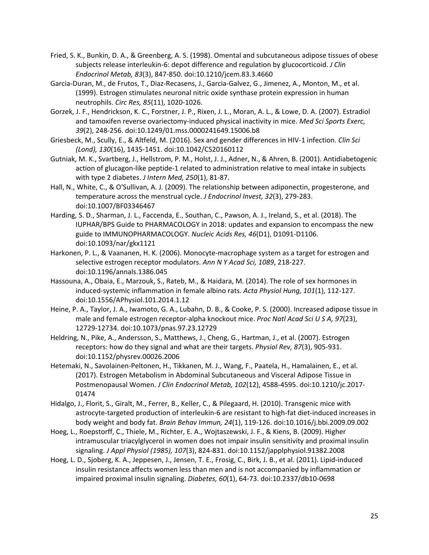- Fried, S. K., Bunkin, D. A., & Greenberg, A. S. (1998). Omental and subcutaneous adipose tissues of obese subjects release interleukin-6: depot difference and regulation by glucocorticoid. *J Clin Endocrinol Metab, 83*(3), 847-850. doi:10.1210/jcem.83.3.4660
- Garcia-Duran, M., de Frutos, T., Diaz-Recasens, J., Garcia-Galvez, G., Jimenez, A., Monton, M., et al. (1999). Estrogen stimulates neuronal nitric oxide synthase protein expression in human neutrophils. *Circ Res, 85*(11), 1020-1026.
- Gorzek, J. F., Hendrickson, K. C., Forstner, J. P., Rixen, J. L., Moran, A. L., & Lowe, D. A. (2007). Estradiol and tamoxifen reverse ovariectomy-induced physical inactivity in mice. *Med Sci Sports Exerc, 39*(2), 248-256. doi:10.1249/01.mss.0000241649.15006.b8
- Griesbeck, M., Scully, E., & Altfeld, M. (2016). Sex and gender differences in HIV-1 infection. *Clin Sci (Lond), 130*(16), 1435-1451. doi:10.1042/CS20160112
- Gutniak, M. K., Svartberg, J., Hellstrom, P. M., Holst, J. J., Adner, N., & Ahren, B. (2001). Antidiabetogenic action of glucagon-like peptide-1 related to administration relative to meal intake in subjects with type 2 diabetes. *J Intern Med, 250*(1), 81-87.
- Hall, N., White, C., & O'Sullivan, A. J. (2009). The relationship between adiponectin, progesterone, and temperature across the menstrual cycle. *J Endocrinol Invest, 32*(3), 279-283. doi:10.1007/BF03346467
- Harding, S. D., Sharman, J. L., Faccenda, E., Southan, C., Pawson, A. J., Ireland, S., et al. (2018). The IUPHAR/BPS Guide to PHARMACOLOGY in 2018: updates and expansion to encompass the new guide to IMMUNOPHARMACOLOGY. *Nucleic Acids Res, 46*(D1), D1091-D1106. doi:10.1093/nar/gkx1121
- Harkonen, P. L., & Vaananen, H. K. (2006). Monocyte-macrophage system as a target for estrogen and selective estrogen receptor modulators. *Ann N Y Acad Sci, 1089*, 218-227. doi:10.1196/annals.1386.045
- Hassouna, A., Obaia, E., Marzouk, S., Rateb, M., & Haidara, M. (2014). The role of sex hormones in induced-systemic inflammation in female albino rats. *Acta Physiol Hung, 101*(1), 112-127. doi:10.1556/APhysiol.101.2014.1.12
- Heine, P. A., Taylor, J. A., Iwamoto, G. A., Lubahn, D. B., & Cooke, P. S. (2000). Increased adipose tissue in male and female estrogen receptor-alpha knockout mice. *Proc Natl Acad Sci U S A, 97*(23), 12729-12734. doi:10.1073/pnas.97.23.12729
- Heldring, N., Pike, A., Andersson, S., Matthews, J., Cheng, G., Hartman, J., et al. (2007). Estrogen receptors: how do they signal and what are their targets. *Physiol Rev, 87*(3), 905-931. doi:10.1152/physrev.00026.2006
- Hetemaki, N., Savolainen-Peltonen, H., Tikkanen, M. J., Wang, F., Paatela, H., Hamalainen, E., et al. (2017). Estrogen Metabolism in Abdominal Subcutaneous and Visceral Adipose Tissue in Postmenopausal Women. *J Clin Endocrinol Metab, 102*(12), 4588-4595. doi:10.1210/jc.2017- 01474
- Hidalgo, J., Florit, S., Giralt, M., Ferrer, B., Keller, C., & Pilegaard, H. (2010). Transgenic mice with astrocyte-targeted production of interleukin-6 are resistant to high-fat diet-induced increases in body weight and body fat. *Brain Behav Immun, 24*(1), 119-126. doi:10.1016/j.bbi.2009.09.002
- Hoeg, L., Roepstorff, C., Thiele, M., Richter, E. A., Wojtaszewski, J. F., & Kiens, B. (2009). Higher intramuscular triacylglycerol in women does not impair insulin sensitivity and proximal insulin signaling. *J Appl Physiol (1985), 107*(3), 824-831. doi:10.1152/japplphysiol.91382.2008
- Hoeg, L. D., Sjoberg, K. A., Jeppesen, J., Jensen, T. E., Frosig, C., Birk, J. B., et al. (2011). Lipid-induced insulin resistance affects women less than men and is not accompanied by inflammation or impaired proximal insulin signaling. *Diabetes, 60*(1), 64-73. doi:10.2337/db10-0698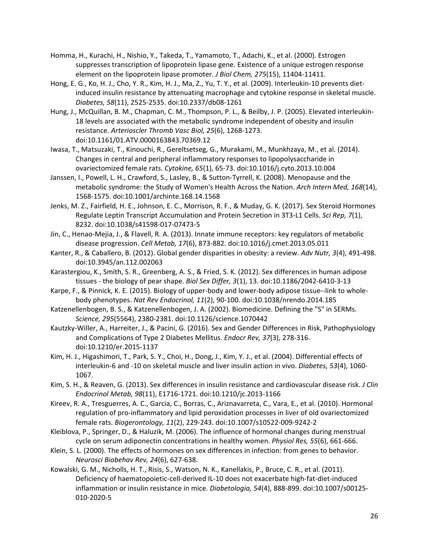- Homma, H., Kurachi, H., Nishio, Y., Takeda, T., Yamamoto, T., Adachi, K., et al. (2000). Estrogen suppresses transcription of lipoprotein lipase gene. Existence of a unique estrogen response element on the lipoprotein lipase promoter. *J Biol Chem, 275*(15), 11404-11411.
- Hong, E. G., Ko, H. J., Cho, Y. R., Kim, H. J., Ma, Z., Yu, T. Y., et al. (2009). Interleukin-10 prevents dietinduced insulin resistance by attenuating macrophage and cytokine response in skeletal muscle. *Diabetes, 58*(11), 2525-2535. doi:10.2337/db08-1261
- Hung, J., McQuillan, B. M., Chapman, C. M., Thompson, P. L., & Beilby, J. P. (2005). Elevated interleukin-18 levels are associated with the metabolic syndrome independent of obesity and insulin resistance. *Arterioscler Thromb Vasc Biol, 25*(6), 1268-1273. doi:10.1161/01.ATV.0000163843.70369.12
- Iwasa, T., Matsuzaki, T., Kinouchi, R., Gereltsetseg, G., Murakami, M., Munkhzaya, M., et al. (2014). Changes in central and peripheral inflammatory responses to lipopolysaccharide in ovariectomized female rats. *Cytokine, 65*(1), 65-73. doi:10.1016/j.cyto.2013.10.004
- Janssen, I., Powell, L. H., Crawford, S., Lasley, B., & Sutton-Tyrrell, K. (2008). Menopause and the metabolic syndrome: the Study of Women's Health Across the Nation. *Arch Intern Med, 168*(14), 1568-1575. doi:10.1001/archinte.168.14.1568
- Jenks, M. Z., Fairfield, H. E., Johnson, E. C., Morrison, R. F., & Muday, G. K. (2017). Sex Steroid Hormones Regulate Leptin Transcript Accumulation and Protein Secretion in 3T3-L1 Cells. *Sci Rep, 7*(1), 8232. doi:10.1038/s41598-017-07473-5
- Jin, C., Henao-Mejia, J., & Flavell, R. A. (2013). Innate immune receptors: key regulators of metabolic disease progression. *Cell Metab, 17*(6), 873-882. doi:10.1016/j.cmet.2013.05.011
- Kanter, R., & Caballero, B. (2012). Global gender disparities in obesity: a review. *Adv Nutr, 3*(4), 491-498. doi:10.3945/an.112.002063
- Karastergiou, K., Smith, S. R., Greenberg, A. S., & Fried, S. K. (2012). Sex differences in human adipose tissues - the biology of pear shape. *Biol Sex Differ, 3*(1), 13. doi:10.1186/2042-6410-3-13
- Karpe, F., & Pinnick, K. E. (2015). Biology of upper-body and lower-body adipose tissue--link to wholebody phenotypes. *Nat Rev Endocrinol, 11*(2), 90-100. doi:10.1038/nrendo.2014.185
- Katzenellenbogen, B. S., & Katzenellenbogen, J. A. (2002). Biomedicine. Defining the "S" in SERMs. *Science, 295*(5564), 2380-2381. doi:10.1126/science.1070442
- Kautzky-Willer, A., Harreiter, J., & Pacini, G. (2016). Sex and Gender Differences in Risk, Pathophysiology and Complications of Type 2 Diabetes Mellitus. *Endocr Rev, 37*(3), 278-316. doi:10.1210/er.2015-1137
- Kim, H. J., Higashimori, T., Park, S. Y., Choi, H., Dong, J., Kim, Y. J., et al. (2004). Differential effects of interleukin-6 and -10 on skeletal muscle and liver insulin action in vivo. *Diabetes, 53*(4), 1060- 1067.
- Kim, S. H., & Reaven, G. (2013). Sex differences in insulin resistance and cardiovascular disease risk. *J Clin Endocrinol Metab, 98*(11), E1716-1721. doi:10.1210/jc.2013-1166
- Kireev, R. A., Tresguerres, A. C., Garcia, C., Borras, C., Ariznavarreta, C., Vara, E., et al. (2010). Hormonal regulation of pro-inflammatory and lipid peroxidation processes in liver of old ovariectomized female rats. *Biogerontology, 11*(2), 229-243. doi:10.1007/s10522-009-9242-2
- Kleiblova, P., Springer, D., & Haluzik, M. (2006). The influence of hormonal changes during menstrual cycle on serum adiponectin concentrations in healthy women. *Physiol Res, 55*(6), 661-666.
- Klein, S. L. (2000). The effects of hormones on sex differences in infection: from genes to behavior. *Neurosci Biobehav Rev, 24*(6), 627-638.
- Kowalski, G. M., Nicholls, H. T., Risis, S., Watson, N. K., Kanellakis, P., Bruce, C. R., et al. (2011). Deficiency of haematopoietic-cell-derived IL-10 does not exacerbate high-fat-diet-induced inflammation or insulin resistance in mice. *Diabetologia, 54*(4), 888-899. doi:10.1007/s00125- 010-2020-5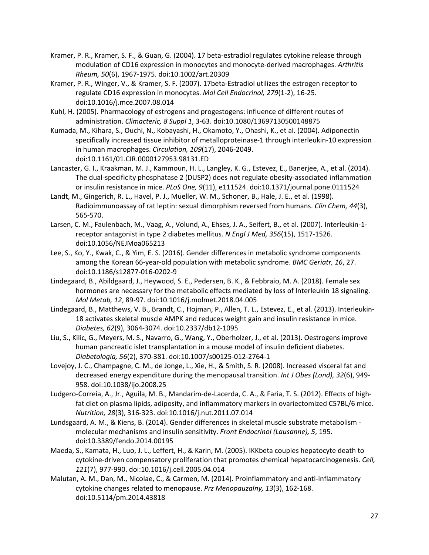- Kramer, P. R., Kramer, S. F., & Guan, G. (2004). 17 beta-estradiol regulates cytokine release through modulation of CD16 expression in monocytes and monocyte-derived macrophages. *Arthritis Rheum, 50*(6), 1967-1975. doi:10.1002/art.20309
- Kramer, P. R., Winger, V., & Kramer, S. F. (2007). 17beta-Estradiol utilizes the estrogen receptor to regulate CD16 expression in monocytes. *Mol Cell Endocrinol, 279*(1-2), 16-25. doi:10.1016/j.mce.2007.08.014
- Kuhl, H. (2005). Pharmacology of estrogens and progestogens: influence of different routes of administration. *Climacteric, 8 Suppl 1*, 3-63. doi:10.1080/13697130500148875
- Kumada, M., Kihara, S., Ouchi, N., Kobayashi, H., Okamoto, Y., Ohashi, K., et al. (2004). Adiponectin specifically increased tissue inhibitor of metalloproteinase-1 through interleukin-10 expression in human macrophages. *Circulation, 109*(17), 2046-2049. doi:10.1161/01.CIR.0000127953.98131.ED
- Lancaster, G. I., Kraakman, M. J., Kammoun, H. L., Langley, K. G., Estevez, E., Banerjee, A., et al. (2014). The dual-specificity phosphatase 2 (DUSP2) does not regulate obesity-associated inflammation or insulin resistance in mice. *PLoS One, 9*(11), e111524. doi:10.1371/journal.pone.0111524
- Landt, M., Gingerich, R. L., Havel, P. J., Mueller, W. M., Schoner, B., Hale, J. E., et al. (1998). Radioimmunoassay of rat leptin: sexual dimorphism reversed from humans. *Clin Chem, 44*(3), 565-570.
- Larsen, C. M., Faulenbach, M., Vaag, A., Volund, A., Ehses, J. A., Seifert, B., et al. (2007). Interleukin-1 receptor antagonist in type 2 diabetes mellitus. *N Engl J Med, 356*(15), 1517-1526. doi:10.1056/NEJMoa065213
- Lee, S., Ko, Y., Kwak, C., & Yim, E. S. (2016). Gender differences in metabolic syndrome components among the Korean 66-year-old population with metabolic syndrome. *BMC Geriatr, 16*, 27. doi:10.1186/s12877-016-0202-9
- Lindegaard, B., Abildgaard, J., Heywood, S. E., Pedersen, B. K., & Febbraio, M. A. (2018). Female sex hormones are necessary for the metabolic effects mediated by loss of Interleukin 18 signaling. *Mol Metab, 12*, 89-97. doi:10.1016/j.molmet.2018.04.005
- Lindegaard, B., Matthews, V. B., Brandt, C., Hojman, P., Allen, T. L., Estevez, E., et al. (2013). Interleukin-18 activates skeletal muscle AMPK and reduces weight gain and insulin resistance in mice. *Diabetes, 62*(9), 3064-3074. doi:10.2337/db12-1095
- Liu, S., Kilic, G., Meyers, M. S., Navarro, G., Wang, Y., Oberholzer, J., et al. (2013). Oestrogens improve human pancreatic islet transplantation in a mouse model of insulin deficient diabetes. *Diabetologia, 56*(2), 370-381. doi:10.1007/s00125-012-2764-1
- Lovejoy, J. C., Champagne, C. M., de Jonge, L., Xie, H., & Smith, S. R. (2008). Increased visceral fat and decreased energy expenditure during the menopausal transition. *Int J Obes (Lond), 32*(6), 949- 958. doi:10.1038/ijo.2008.25
- Ludgero-Correia, A., Jr., Aguila, M. B., Mandarim-de-Lacerda, C. A., & Faria, T. S. (2012). Effects of highfat diet on plasma lipids, adiposity, and inflammatory markers in ovariectomized C57BL/6 mice. *Nutrition, 28*(3), 316-323. doi:10.1016/j.nut.2011.07.014
- Lundsgaard, A. M., & Kiens, B. (2014). Gender differences in skeletal muscle substrate metabolism molecular mechanisms and insulin sensitivity. *Front Endocrinol (Lausanne), 5*, 195. doi:10.3389/fendo.2014.00195
- Maeda, S., Kamata, H., Luo, J. L., Leffert, H., & Karin, M. (2005). IKKbeta couples hepatocyte death to cytokine-driven compensatory proliferation that promotes chemical hepatocarcinogenesis. *Cell, 121*(7), 977-990. doi:10.1016/j.cell.2005.04.014
- Malutan, A. M., Dan, M., Nicolae, C., & Carmen, M. (2014). Proinflammatory and anti-inflammatory cytokine changes related to menopause. *Prz Menopauzalny, 13*(3), 162-168. doi:10.5114/pm.2014.43818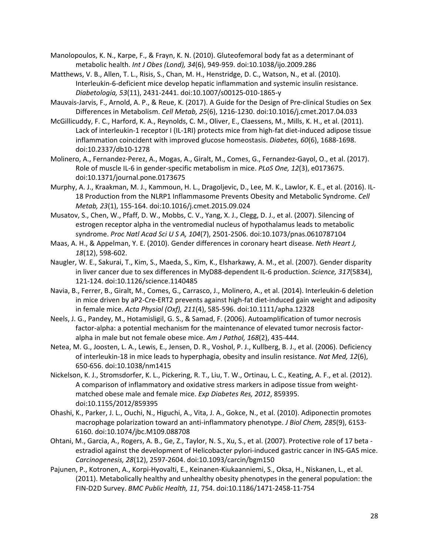Manolopoulos, K. N., Karpe, F., & Frayn, K. N. (2010). Gluteofemoral body fat as a determinant of metabolic health. *Int J Obes (Lond), 34*(6), 949-959. doi:10.1038/ijo.2009.286

- Matthews, V. B., Allen, T. L., Risis, S., Chan, M. H., Henstridge, D. C., Watson, N., et al. (2010). Interleukin-6-deficient mice develop hepatic inflammation and systemic insulin resistance. *Diabetologia, 53*(11), 2431-2441. doi:10.1007/s00125-010-1865-y
- Mauvais-Jarvis, F., Arnold, A. P., & Reue, K. (2017). A Guide for the Design of Pre-clinical Studies on Sex Differences in Metabolism. *Cell Metab, 25*(6), 1216-1230. doi:10.1016/j.cmet.2017.04.033
- McGillicuddy, F. C., Harford, K. A., Reynolds, C. M., Oliver, E., Claessens, M., Mills, K. H., et al. (2011). Lack of interleukin-1 receptor I (IL-1RI) protects mice from high-fat diet-induced adipose tissue inflammation coincident with improved glucose homeostasis. *Diabetes, 60*(6), 1688-1698. doi:10.2337/db10-1278
- Molinero, A., Fernandez-Perez, A., Mogas, A., Giralt, M., Comes, G., Fernandez-Gayol, O., et al. (2017). Role of muscle IL-6 in gender-specific metabolism in mice. *PLoS One, 12*(3), e0173675. doi:10.1371/journal.pone.0173675
- Murphy, A. J., Kraakman, M. J., Kammoun, H. L., Dragoljevic, D., Lee, M. K., Lawlor, K. E., et al. (2016). IL-18 Production from the NLRP1 Inflammasome Prevents Obesity and Metabolic Syndrome. *Cell Metab, 23*(1), 155-164. doi:10.1016/j.cmet.2015.09.024
- Musatov, S., Chen, W., Pfaff, D. W., Mobbs, C. V., Yang, X. J., Clegg, D. J., et al. (2007). Silencing of estrogen receptor alpha in the ventromedial nucleus of hypothalamus leads to metabolic syndrome. *Proc Natl Acad Sci U S A, 104*(7), 2501-2506. doi:10.1073/pnas.0610787104
- Maas, A. H., & Appelman, Y. E. (2010). Gender differences in coronary heart disease. *Neth Heart J, 18*(12), 598-602.
- Naugler, W. E., Sakurai, T., Kim, S., Maeda, S., Kim, K., Elsharkawy, A. M., et al. (2007). Gender disparity in liver cancer due to sex differences in MyD88-dependent IL-6 production. *Science, 317*(5834), 121-124. doi:10.1126/science.1140485
- Navia, B., Ferrer, B., Giralt, M., Comes, G., Carrasco, J., Molinero, A., et al. (2014). Interleukin-6 deletion in mice driven by aP2-Cre-ERT2 prevents against high-fat diet-induced gain weight and adiposity in female mice. *Acta Physiol (Oxf), 211*(4), 585-596. doi:10.1111/apha.12328
- Neels, J. G., Pandey, M., Hotamisligil, G. S., & Samad, F. (2006). Autoamplification of tumor necrosis factor-alpha: a potential mechanism for the maintenance of elevated tumor necrosis factoralpha in male but not female obese mice. *Am J Pathol, 168*(2), 435-444.
- Netea, M. G., Joosten, L. A., Lewis, E., Jensen, D. R., Voshol, P. J., Kullberg, B. J., et al. (2006). Deficiency of interleukin-18 in mice leads to hyperphagia, obesity and insulin resistance. *Nat Med, 12*(6), 650-656. doi:10.1038/nm1415
- Nickelson, K. J., Stromsdorfer, K. L., Pickering, R. T., Liu, T. W., Ortinau, L. C., Keating, A. F., et al. (2012). A comparison of inflammatory and oxidative stress markers in adipose tissue from weightmatched obese male and female mice. *Exp Diabetes Res, 2012*, 859395. doi:10.1155/2012/859395
- Ohashi, K., Parker, J. L., Ouchi, N., Higuchi, A., Vita, J. A., Gokce, N., et al. (2010). Adiponectin promotes macrophage polarization toward an anti-inflammatory phenotype. *J Biol Chem, 285*(9), 6153- 6160. doi:10.1074/jbc.M109.088708
- Ohtani, M., Garcia, A., Rogers, A. B., Ge, Z., Taylor, N. S., Xu, S., et al. (2007). Protective role of 17 beta estradiol against the development of Helicobacter pylori-induced gastric cancer in INS-GAS mice. *Carcinogenesis, 28*(12), 2597-2604. doi:10.1093/carcin/bgm150
- Pajunen, P., Kotronen, A., Korpi-Hyovalti, E., Keinanen-Kiukaanniemi, S., Oksa, H., Niskanen, L., et al. (2011). Metabolically healthy and unhealthy obesity phenotypes in the general population: the FIN-D2D Survey. *BMC Public Health, 11*, 754. doi:10.1186/1471-2458-11-754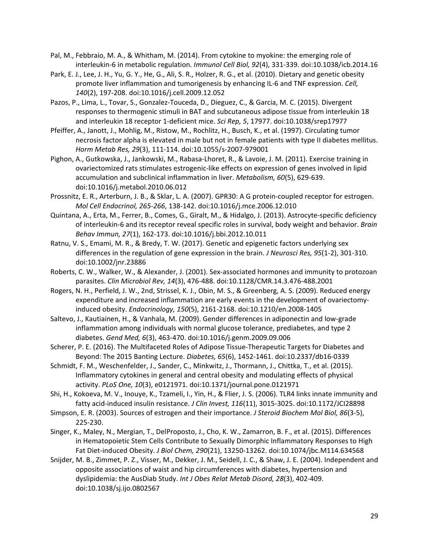- Pal, M., Febbraio, M. A., & Whitham, M. (2014). From cytokine to myokine: the emerging role of interleukin-6 in metabolic regulation. *Immunol Cell Biol, 92*(4), 331-339. doi:10.1038/icb.2014.16
- Park, E. J., Lee, J. H., Yu, G. Y., He, G., Ali, S. R., Holzer, R. G., et al. (2010). Dietary and genetic obesity promote liver inflammation and tumorigenesis by enhancing IL-6 and TNF expression. *Cell, 140*(2), 197-208. doi:10.1016/j.cell.2009.12.052
- Pazos, P., Lima, L., Tovar, S., Gonzalez-Touceda, D., Dieguez, C., & Garcia, M. C. (2015). Divergent responses to thermogenic stimuli in BAT and subcutaneous adipose tissue from interleukin 18 and interleukin 18 receptor 1-deficient mice. *Sci Rep, 5*, 17977. doi:10.1038/srep17977
- Pfeiffer, A., Janott, J., Mohlig, M., Ristow, M., Rochlitz, H., Busch, K., et al. (1997). Circulating tumor necrosis factor alpha is elevated in male but not in female patients with type II diabetes mellitus. *Horm Metab Res, 29*(3), 111-114. doi:10.1055/s-2007-979001
- Pighon, A., Gutkowska, J., Jankowski, M., Rabasa-Lhoret, R., & Lavoie, J. M. (2011). Exercise training in ovariectomized rats stimulates estrogenic-like effects on expression of genes involved in lipid accumulation and subclinical inflammation in liver. *Metabolism, 60*(5), 629-639. doi:10.1016/j.metabol.2010.06.012
- Prossnitz, E. R., Arterburn, J. B., & Sklar, L. A. (2007). GPR30: A G protein-coupled receptor for estrogen. *Mol Cell Endocrinol, 265-266*, 138-142. doi:10.1016/j.mce.2006.12.010
- Quintana, A., Erta, M., Ferrer, B., Comes, G., Giralt, M., & Hidalgo, J. (2013). Astrocyte-specific deficiency of interleukin-6 and its receptor reveal specific roles in survival, body weight and behavior. *Brain Behav Immun, 27*(1), 162-173. doi:10.1016/j.bbi.2012.10.011
- Ratnu, V. S., Emami, M. R., & Bredy, T. W. (2017). Genetic and epigenetic factors underlying sex differences in the regulation of gene expression in the brain. *J Neurosci Res, 95*(1-2), 301-310. doi:10.1002/jnr.23886
- Roberts, C. W., Walker, W., & Alexander, J. (2001). Sex-associated hormones and immunity to protozoan parasites. *Clin Microbiol Rev, 14*(3), 476-488. doi:10.1128/CMR.14.3.476-488.2001
- Rogers, N. H., Perfield, J. W., 2nd, Strissel, K. J., Obin, M. S., & Greenberg, A. S. (2009). Reduced energy expenditure and increased inflammation are early events in the development of ovariectomyinduced obesity. *Endocrinology, 150*(5), 2161-2168. doi:10.1210/en.2008-1405
- Saltevo, J., Kautiainen, H., & Vanhala, M. (2009). Gender differences in adiponectin and low-grade inflammation among individuals with normal glucose tolerance, prediabetes, and type 2 diabetes. *Gend Med, 6*(3), 463-470. doi:10.1016/j.genm.2009.09.006
- Scherer, P. E. (2016). The Multifaceted Roles of Adipose Tissue-Therapeutic Targets for Diabetes and Beyond: The 2015 Banting Lecture. *Diabetes, 65*(6), 1452-1461. doi:10.2337/db16-0339
- Schmidt, F. M., Weschenfelder, J., Sander, C., Minkwitz, J., Thormann, J., Chittka, T., et al. (2015). Inflammatory cytokines in general and central obesity and modulating effects of physical activity. *PLoS One, 10*(3), e0121971. doi:10.1371/journal.pone.0121971
- Shi, H., Kokoeva, M. V., Inouye, K., Tzameli, I., Yin, H., & Flier, J. S. (2006). TLR4 links innate immunity and fatty acid-induced insulin resistance. *J Clin Invest, 116*(11), 3015-3025. doi:10.1172/JCI28898
- Simpson, E. R. (2003). Sources of estrogen and their importance. *J Steroid Biochem Mol Biol, 86*(3-5), 225-230.
- Singer, K., Maley, N., Mergian, T., DelProposto, J., Cho, K. W., Zamarron, B. F., et al. (2015). Differences in Hematopoietic Stem Cells Contribute to Sexually Dimorphic Inflammatory Responses to High Fat Diet-induced Obesity. *J Biol Chem, 290*(21), 13250-13262. doi:10.1074/jbc.M114.634568
- Snijder, M. B., Zimmet, P. Z., Visser, M., Dekker, J. M., Seidell, J. C., & Shaw, J. E. (2004). Independent and opposite associations of waist and hip circumferences with diabetes, hypertension and dyslipidemia: the AusDiab Study. *Int J Obes Relat Metab Disord, 28*(3), 402-409. doi:10.1038/sj.ijo.0802567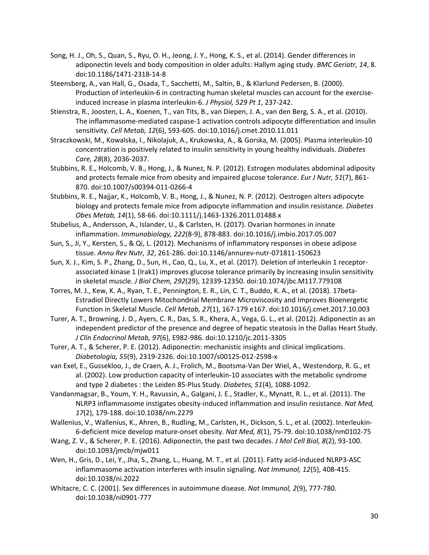- Song, H. J., Oh, S., Quan, S., Ryu, O. H., Jeong, J. Y., Hong, K. S., et al. (2014). Gender differences in adiponectin levels and body composition in older adults: Hallym aging study. *BMC Geriatr, 14*, 8. doi:10.1186/1471-2318-14-8
- Steensberg, A., van Hall, G., Osada, T., Sacchetti, M., Saltin, B., & Klarlund Pedersen, B. (2000). Production of interleukin-6 in contracting human skeletal muscles can account for the exerciseinduced increase in plasma interleukin-6. *J Physiol, 529 Pt 1*, 237-242.
- Stienstra, R., Joosten, L. A., Koenen, T., van Tits, B., van Diepen, J. A., van den Berg, S. A., et al. (2010). The inflammasome-mediated caspase-1 activation controls adipocyte differentiation and insulin sensitivity. *Cell Metab, 12*(6), 593-605. doi:10.1016/j.cmet.2010.11.011
- Straczkowski, M., Kowalska, I., Nikolajuk, A., Krukowska, A., & Gorska, M. (2005). Plasma interleukin-10 concentration is positively related to insulin sensitivity in young healthy individuals. *Diabetes Care, 28*(8), 2036-2037.
- Stubbins, R. E., Holcomb, V. B., Hong, J., & Nunez, N. P. (2012). Estrogen modulates abdominal adiposity and protects female mice from obesity and impaired glucose tolerance. *Eur J Nutr, 51*(7), 861- 870. doi:10.1007/s00394-011-0266-4
- Stubbins, R. E., Najjar, K., Holcomb, V. B., Hong, J., & Nunez, N. P. (2012). Oestrogen alters adipocyte biology and protects female mice from adipocyte inflammation and insulin resistance. *Diabetes Obes Metab, 14*(1), 58-66. doi:10.1111/j.1463-1326.2011.01488.x
- Stubelius, A., Andersson, A., Islander, U., & Carlsten, H. (2017). Ovarian hormones in innate inflammation. *Immunobiology, 222*(8-9), 878-883. doi:10.1016/j.imbio.2017.05.007
- Sun, S., Ji, Y., Kersten, S., & Qi, L. (2012). Mechanisms of inflammatory responses in obese adipose tissue. *Annu Rev Nutr, 32*, 261-286. doi:10.1146/annurev-nutr-071811-150623
- Sun, X. J., Kim, S. P., Zhang, D., Sun, H., Cao, Q., Lu, X., et al. (2017). Deletion of interleukin 1 receptorassociated kinase 1 (Irak1) improves glucose tolerance primarily by increasing insulin sensitivity in skeletal muscle. *J Biol Chem, 292*(29), 12339-12350. doi:10.1074/jbc.M117.779108
- Torres, M. J., Kew, K. A., Ryan, T. E., Pennington, E. R., Lin, C. T., Buddo, K. A., et al. (2018). 17beta-Estradiol Directly Lowers Mitochondrial Membrane Microviscosity and Improves Bioenergetic Function in Skeletal Muscle. *Cell Metab, 27*(1), 167-179 e167. doi:10.1016/j.cmet.2017.10.003
- Turer, A. T., Browning, J. D., Ayers, C. R., Das, S. R., Khera, A., Vega, G. L., et al. (2012). Adiponectin as an independent predictor of the presence and degree of hepatic steatosis in the Dallas Heart Study. *J Clin Endocrinol Metab, 97*(6), E982-986. doi:10.1210/jc.2011-3305
- Turer, A. T., & Scherer, P. E. (2012). Adiponectin: mechanistic insights and clinical implications. *Diabetologia, 55*(9), 2319-2326. doi:10.1007/s00125-012-2598-x
- van Exel, E., Gussekloo, J., de Craen, A. J., Frolich, M., Bootsma-Van Der Wiel, A., Westendorp, R. G., et al. (2002). Low production capacity of interleukin-10 associates with the metabolic syndrome and type 2 diabetes : the Leiden 85-Plus Study. *Diabetes, 51*(4), 1088-1092.
- Vandanmagsar, B., Youm, Y. H., Ravussin, A., Galgani, J. E., Stadler, K., Mynatt, R. L., et al. (2011). The NLRP3 inflammasome instigates obesity-induced inflammation and insulin resistance. *Nat Med, 17*(2), 179-188. doi:10.1038/nm.2279
- Wallenius, V., Wallenius, K., Ahren, B., Rudling, M., Carlsten, H., Dickson, S. L., et al. (2002). Interleukin-6-deficient mice develop mature-onset obesity. *Nat Med, 8*(1), 75-79. doi:10.1038/nm0102-75
- Wang, Z. V., & Scherer, P. E. (2016). Adiponectin, the past two decades. *J Mol Cell Biol, 8*(2), 93-100. doi:10.1093/jmcb/mjw011
- Wen, H., Gris, D., Lei, Y., Jha, S., Zhang, L., Huang, M. T., et al. (2011). Fatty acid-induced NLRP3-ASC inflammasome activation interferes with insulin signaling. *Nat Immunol, 12*(5), 408-415. doi:10.1038/ni.2022
- Whitacre, C. C. (2001). Sex differences in autoimmune disease. *Nat Immunol, 2*(9), 777-780. doi:10.1038/ni0901-777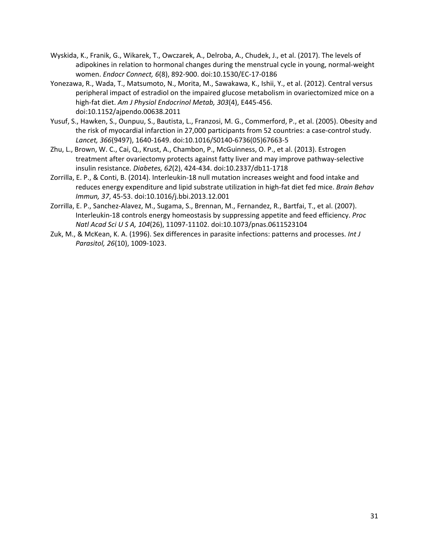- Wyskida, K., Franik, G., Wikarek, T., Owczarek, A., Delroba, A., Chudek, J., et al. (2017). The levels of adipokines in relation to hormonal changes during the menstrual cycle in young, normal-weight women. *Endocr Connect, 6*(8), 892-900. doi:10.1530/EC-17-0186
- Yonezawa, R., Wada, T., Matsumoto, N., Morita, M., Sawakawa, K., Ishii, Y., et al. (2012). Central versus peripheral impact of estradiol on the impaired glucose metabolism in ovariectomized mice on a high-fat diet. *Am J Physiol Endocrinol Metab, 303*(4), E445-456. doi:10.1152/ajpendo.00638.2011
- Yusuf, S., Hawken, S., Ounpuu, S., Bautista, L., Franzosi, M. G., Commerford, P., et al. (2005). Obesity and the risk of myocardial infarction in 27,000 participants from 52 countries: a case-control study. *Lancet, 366*(9497), 1640-1649. doi:10.1016/S0140-6736(05)67663-5
- Zhu, L., Brown, W. C., Cai, Q., Krust, A., Chambon, P., McGuinness, O. P., et al. (2013). Estrogen treatment after ovariectomy protects against fatty liver and may improve pathway-selective insulin resistance. *Diabetes, 62*(2), 424-434. doi:10.2337/db11-1718
- Zorrilla, E. P., & Conti, B. (2014). Interleukin-18 null mutation increases weight and food intake and reduces energy expenditure and lipid substrate utilization in high-fat diet fed mice. *Brain Behav Immun, 37*, 45-53. doi:10.1016/j.bbi.2013.12.001
- Zorrilla, E. P., Sanchez-Alavez, M., Sugama, S., Brennan, M., Fernandez, R., Bartfai, T., et al. (2007). Interleukin-18 controls energy homeostasis by suppressing appetite and feed efficiency. *Proc Natl Acad Sci U S A, 104*(26), 11097-11102. doi:10.1073/pnas.0611523104
- Zuk, M., & McKean, K. A. (1996). Sex differences in parasite infections: patterns and processes. *Int J Parasitol, 26*(10), 1009-1023.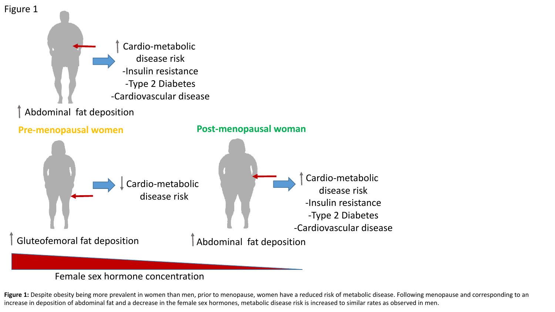

# Female sex hormone concentration

Figure 1: Despite obesity being more prevalent in women than men, prior to menopause, women have a reduced risk of metabolic disease. Following menopause and corresponding to an increase in deposition of abdominal fat and a decrease in the female sex hormones, metabolic disease risk is increased to similar rates as observed in men.